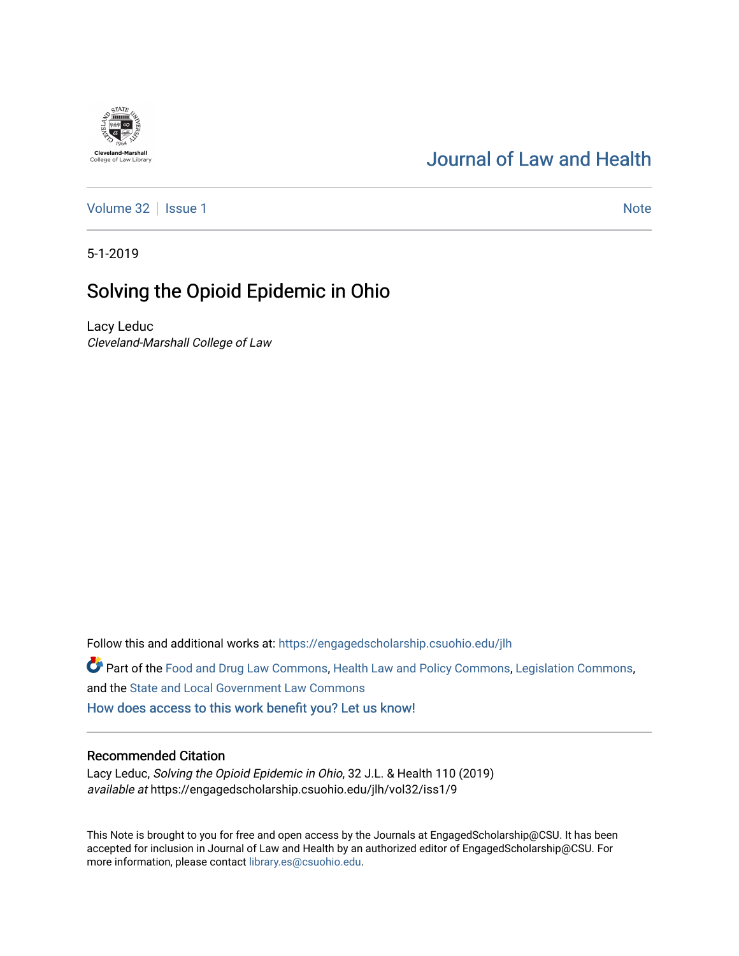# [Journal of Law and Health](https://engagedscholarship.csuohio.edu/jlh)

[Volume 32](https://engagedscholarship.csuohio.edu/jlh/vol32) | [Issue 1](https://engagedscholarship.csuohio.edu/jlh/vol32/iss1) Note

5-1-2019

# Solving the Opioid Epidemic in Ohio

Lacy Leduc Cleveland-Marshall College of Law

Follow this and additional works at: [https://engagedscholarship.csuohio.edu/jlh](https://engagedscholarship.csuohio.edu/jlh?utm_source=engagedscholarship.csuohio.edu%2Fjlh%2Fvol32%2Fiss1%2F9&utm_medium=PDF&utm_campaign=PDFCoverPages) 

Part of the [Food and Drug Law Commons,](http://network.bepress.com/hgg/discipline/844?utm_source=engagedscholarship.csuohio.edu%2Fjlh%2Fvol32%2Fiss1%2F9&utm_medium=PDF&utm_campaign=PDFCoverPages) [Health Law and Policy Commons,](http://network.bepress.com/hgg/discipline/901?utm_source=engagedscholarship.csuohio.edu%2Fjlh%2Fvol32%2Fiss1%2F9&utm_medium=PDF&utm_campaign=PDFCoverPages) [Legislation Commons,](http://network.bepress.com/hgg/discipline/859?utm_source=engagedscholarship.csuohio.edu%2Fjlh%2Fvol32%2Fiss1%2F9&utm_medium=PDF&utm_campaign=PDFCoverPages) and the [State and Local Government Law Commons](http://network.bepress.com/hgg/discipline/879?utm_source=engagedscholarship.csuohio.edu%2Fjlh%2Fvol32%2Fiss1%2F9&utm_medium=PDF&utm_campaign=PDFCoverPages)  [How does access to this work benefit you? Let us know!](http://library.csuohio.edu/engaged/)

## Recommended Citation

Lacy Leduc, Solving the Opioid Epidemic in Ohio, 32 J.L. & Health 110 (2019) available at https://engagedscholarship.csuohio.edu/jlh/vol32/iss1/9

This Note is brought to you for free and open access by the Journals at EngagedScholarship@CSU. It has been accepted for inclusion in Journal of Law and Health by an authorized editor of EngagedScholarship@CSU. For more information, please contact [library.es@csuohio.edu](mailto:library.es@csuohio.edu).

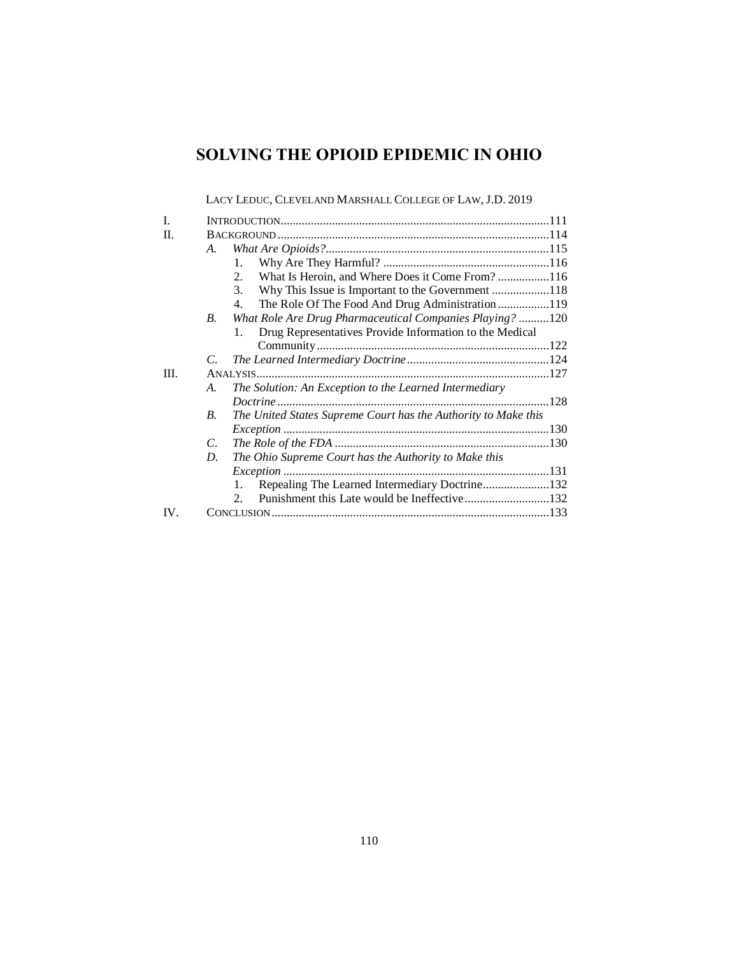## **SOLVING THE OPIOID EPIDEMIC IN OHIO**

LACY LEDUC, CLEVELAND MARSHALL COLLEGE OF LAW, J.D. 2019

| L         |             |                                                                |  |
|-----------|-------------|----------------------------------------------------------------|--|
| H.        |             |                                                                |  |
|           | A.          |                                                                |  |
|           |             | 1.                                                             |  |
|           |             | What Is Heroin, and Where Does it Come From?116<br>$2_{1}$     |  |
|           |             | Why This Issue is Important to the Government 118<br>3.        |  |
|           |             | The Role Of The Food And Drug Administration 119<br>4.         |  |
|           | B.          | What Role Are Drug Pharmaceutical Companies Playing? 120       |  |
|           |             | Drug Representatives Provide Information to the Medical<br>1.  |  |
|           |             |                                                                |  |
|           | C.          |                                                                |  |
| III.      |             |                                                                |  |
|           | A.          | The Solution: An Exception to the Learned Intermediary         |  |
|           |             |                                                                |  |
|           | $R_{\cdot}$ | The United States Supreme Court has the Authority to Make this |  |
|           |             |                                                                |  |
|           | $C_{\cdot}$ |                                                                |  |
|           | D.          | The Ohio Supreme Court has the Authority to Make this          |  |
|           |             |                                                                |  |
|           |             | Repealing The Learned Intermediary Doctrine132<br>1.           |  |
|           |             | $2^{+}$                                                        |  |
| <b>IV</b> |             |                                                                |  |
|           |             |                                                                |  |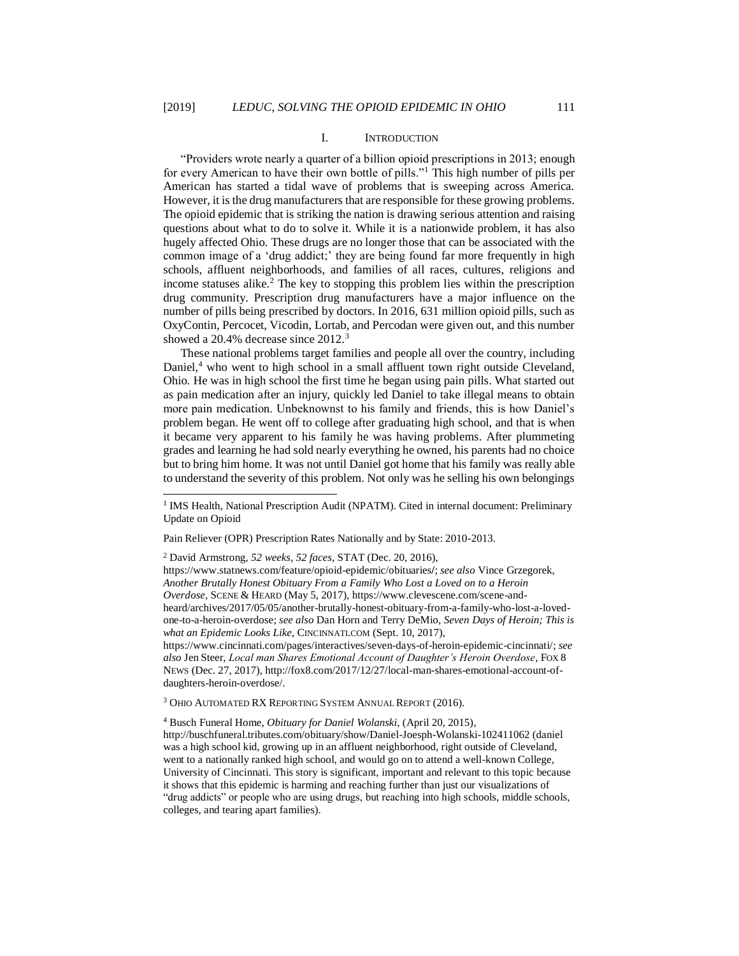l

#### I. INTRODUCTION

"Providers wrote nearly a quarter of a billion opioid prescriptions in 2013; enough for every American to have their own bottle of pills."<sup>1</sup> This high number of pills per American has started a tidal wave of problems that is sweeping across America. However, it is the drug manufacturers that are responsible for these growing problems. The opioid epidemic that is striking the nation is drawing serious attention and raising questions about what to do to solve it. While it is a nationwide problem, it has also hugely affected Ohio. These drugs are no longer those that can be associated with the common image of a 'drug addict;' they are being found far more frequently in high schools, affluent neighborhoods, and families of all races, cultures, religions and income statuses alike.<sup>2</sup> The key to stopping this problem lies within the prescription drug community. Prescription drug manufacturers have a major influence on the number of pills being prescribed by doctors. In 2016, 631 million opioid pills, such as OxyContin, Percocet, Vicodin, Lortab, and Percodan were given out, and this number showed a 20.4% decrease since 2012.<sup>3</sup>

These national problems target families and people all over the country, including Daniel,<sup>4</sup> who went to high school in a small affluent town right outside Cleveland, Ohio. He was in high school the first time he began using pain pills. What started out as pain medication after an injury, quickly led Daniel to take illegal means to obtain more pain medication. Unbeknownst to his family and friends, this is how Daniel's problem began. He went off to college after graduating high school, and that is when it became very apparent to his family he was having problems. After plummeting grades and learning he had sold nearly everything he owned, his parents had no choice but to bring him home. It was not until Daniel got home that his family was really able to understand the severity of this problem. Not only was he selling his own belongings

Pain Reliever (OPR) Prescription Rates Nationally and by State: 2010-2013.

<sup>2</sup> David Armstrong, *52 weeks, 52 faces*, STAT (Dec. 20, 2016),

https://www.statnews.com/feature/opioid-epidemic/obituaries**/**; *see also* Vince Grzegorek, *Another Brutally Honest Obituary From a Family Who Lost a Loved on to a Heroin Overdose*, SCENE & HEARD (May 5, 2017), https://www.clevescene.com/scene-andheard/archives/2017/05/05/another-brutally-honest-obituary-from-a-family-who-lost-a-lovedone-to-a-heroin-overdose; *see also* Dan Horn and Terry DeMio, *Seven Days of Heroin; This is what an Epidemic Looks Like*, CINCINNATI.COM (Sept. 10, 2017), https://www.cincinnati.com/pages/interactives/seven-days-of-heroin-epidemic-cincinnati/; *see also* Jen Steer, *Local man Shares Emotional Account of Daughter's Heroin Overdose*, FOX 8

NEWS (Dec. 27, 2017), http://fox8.com/2017/12/27/local-man-shares-emotional-account-ofdaughters-heroin-overdose/.

<sup>3</sup> OHIO AUTOMATED RX REPORTING SYSTEM ANNUAL REPORT (2016).

<sup>4</sup> Busch Funeral Home, *Obituary for Daniel Wolanski*, (April 20, 2015), http://buschfuneral.tributes.com/obituary/show/Daniel-Joesph-Wolanski-102411062 (daniel was a high school kid, growing up in an affluent neighborhood, right outside of Cleveland, went to a nationally ranked high school, and would go on to attend a well-known College, University of Cincinnati. This story is significant, important and relevant to this topic because it shows that this epidemic is harming and reaching further than just our visualizations of "drug addicts" or people who are using drugs, but reaching into high schools, middle schools, colleges, and tearing apart families).

<sup>&</sup>lt;sup>1</sup> IMS Health, National Prescription Audit (NPATM). Cited in internal document: Preliminary Update on Opioid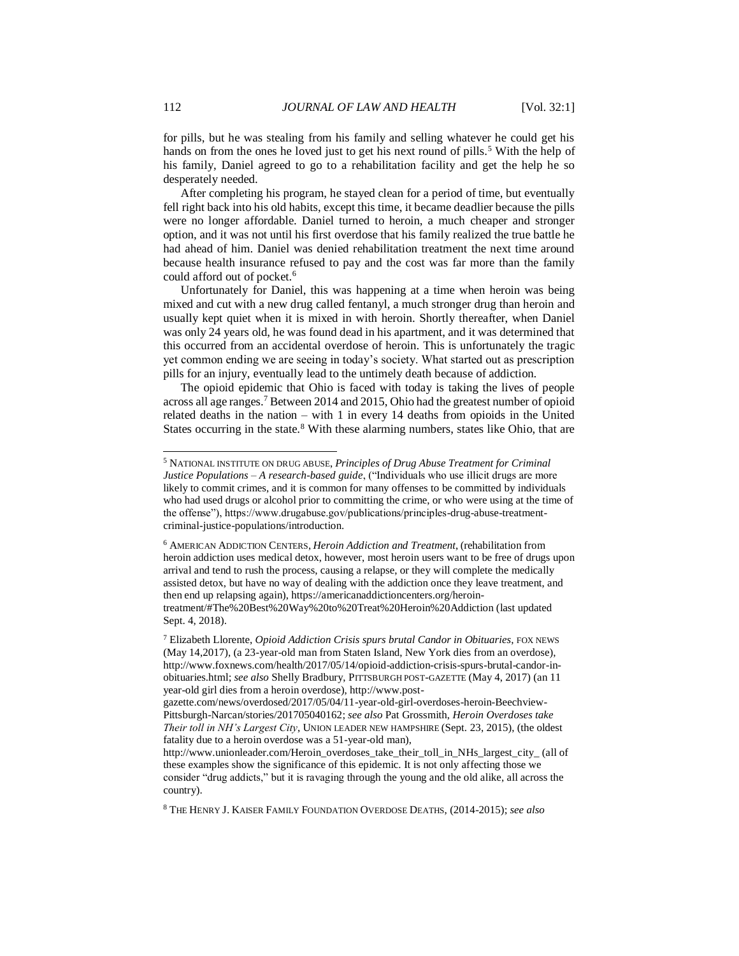for pills, but he was stealing from his family and selling whatever he could get his hands on from the ones he loved just to get his next round of pills.<sup>5</sup> With the help of his family, Daniel agreed to go to a rehabilitation facility and get the help he so desperately needed.

After completing his program, he stayed clean for a period of time, but eventually fell right back into his old habits, except this time, it became deadlier because the pills were no longer affordable. Daniel turned to heroin, a much cheaper and stronger option, and it was not until his first overdose that his family realized the true battle he had ahead of him. Daniel was denied rehabilitation treatment the next time around because health insurance refused to pay and the cost was far more than the family could afford out of pocket.<sup>6</sup>

Unfortunately for Daniel, this was happening at a time when heroin was being mixed and cut with a new drug called fentanyl, a much stronger drug than heroin and usually kept quiet when it is mixed in with heroin. Shortly thereafter, when Daniel was only 24 years old, he was found dead in his apartment, and it was determined that this occurred from an accidental overdose of heroin. This is unfortunately the tragic yet common ending we are seeing in today's society. What started out as prescription pills for an injury, eventually lead to the untimely death because of addiction.

The opioid epidemic that Ohio is faced with today is taking the lives of people across all age ranges.<sup>7</sup> Between 2014 and 2015, Ohio had the greatest number of opioid related deaths in the nation – with 1 in every 14 deaths from opioids in the United States occurring in the state.<sup>8</sup> With these alarming numbers, states like Ohio, that are

<sup>5</sup> NATIONAL INSTITUTE ON DRUG ABUSE, *Principles of Drug Abuse Treatment for Criminal Justice Populations – A research-based guide*, ("Individuals who use illicit drugs are more likely to commit crimes, and it is common for many offenses to be committed by individuals who had used drugs or alcohol prior to committing the crime, or who were using at the time of the offense"), https://www.drugabuse.gov/publications/principles-drug-abuse-treatmentcriminal-justice-populations/introduction.

<sup>6</sup> AMERICAN ADDICTION CENTERS, *Heroin Addiction and Treatment*, (rehabilitation from heroin addiction uses medical detox, however, most heroin users want to be free of drugs upon arrival and tend to rush the process, causing a relapse, or they will complete the medically assisted detox, but have no way of dealing with the addiction once they leave treatment, and then end up relapsing again), https://americanaddictioncenters.org/herointreatment/#The%20Best%20Way%20to%20Treat%20Heroin%20Addiction (last updated Sept. 4, 2018).

<sup>7</sup> Elizabeth Llorente, *Opioid Addiction Crisis spurs brutal Candor in Obituaries*, FOX NEWS (May 14,2017), (a 23-year-old man from Staten Island, New York dies from an overdose), http://www.foxnews.com/health/2017/05/14/opioid-addiction-crisis-spurs-brutal-candor-inobituaries.html; *see also* Shelly Bradbury, PITTSBURGH POST-GAZETTE (May 4, 2017) (an 11 year-old girl dies from a heroin overdose), http://www.post-

gazette.com/news/overdosed/2017/05/04/11-year-old-girl-overdoses-heroin-Beechview-Pittsburgh-Narcan/stories/201705040162; *see also* Pat Grossmith, *Heroin Overdoses take Their toll in NH's Largest City*, UNION LEADER NEW HAMPSHIRE (Sept. 23, 2015), (the oldest fatality due to a heroin overdose was a 51-year-old man),

http://www.unionleader.com/Heroin\_overdoses\_take\_their\_toll\_in\_NHs\_largest\_city\_ (all of these examples show the significance of this epidemic. It is not only affecting those we consider "drug addicts," but it is ravaging through the young and the old alike, all across the country).

<sup>8</sup> THE HENRY J. KAISER FAMILY FOUNDATION OVERDOSE DEATHS, (2014-2015); *see also*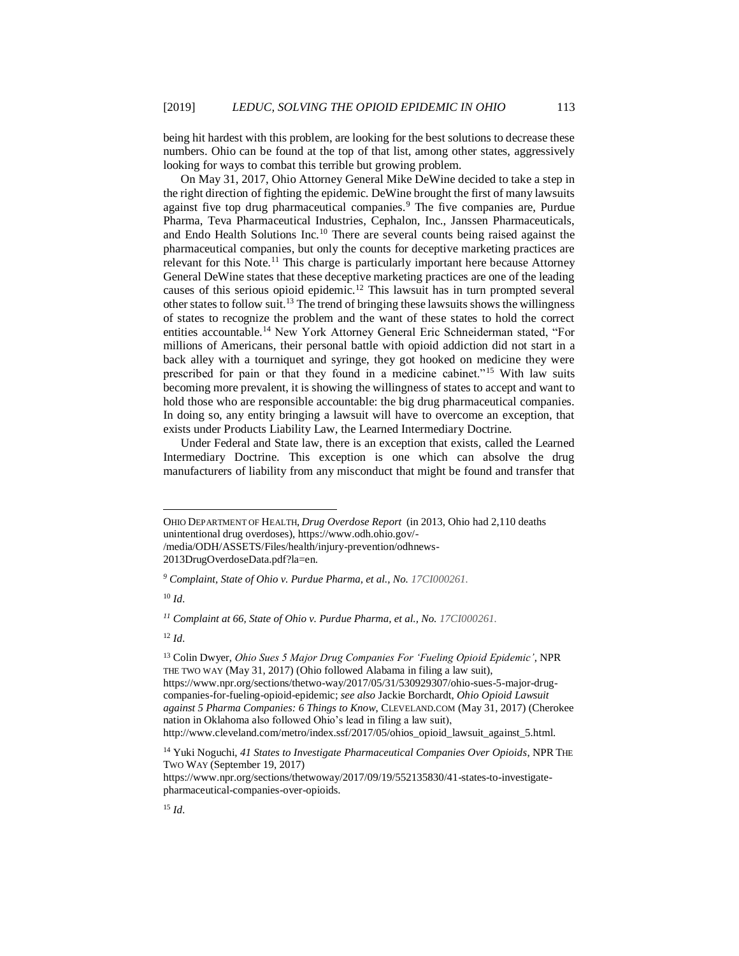being hit hardest with this problem, are looking for the best solutions to decrease these numbers. Ohio can be found at the top of that list, among other states, aggressively looking for ways to combat this terrible but growing problem.

On May 31, 2017, Ohio Attorney General Mike DeWine decided to take a step in the right direction of fighting the epidemic. DeWine brought the first of many lawsuits against five top drug pharmaceutical companies.<sup>9</sup> The five companies are, Purdue Pharma, Teva Pharmaceutical Industries, Cephalon, Inc., Janssen Pharmaceuticals, and Endo Health Solutions Inc.<sup>10</sup> There are several counts being raised against the pharmaceutical companies, but only the counts for deceptive marketing practices are relevant for this Note.<sup>11</sup> This charge is particularly important here because Attorney General DeWine states that these deceptive marketing practices are one of the leading causes of this serious opioid epidemic.<sup>12</sup> This lawsuit has in turn prompted several other states to follow suit.<sup>13</sup> The trend of bringing these lawsuits shows the willingness of states to recognize the problem and the want of these states to hold the correct entities accountable.<sup>14</sup> New York Attorney General Eric Schneiderman stated, "For millions of Americans, their personal battle with opioid addiction did not start in a back alley with a tourniquet and syringe, they got hooked on medicine they were prescribed for pain or that they found in a medicine cabinet."<sup>15</sup> With law suits becoming more prevalent, it is showing the willingness of states to accept and want to hold those who are responsible accountable: the big drug pharmaceutical companies. In doing so, any entity bringing a lawsuit will have to overcome an exception, that exists under Products Liability Law, the Learned Intermediary Doctrine.

Under Federal and State law, there is an exception that exists, called the Learned Intermediary Doctrine. This exception is one which can absolve the drug manufacturers of liability from any misconduct that might be found and transfer that

2013DrugOverdoseData.pdf?la=en.

<sup>10</sup> *Id.*

l

<sup>13</sup> Colin Dwyer, *Ohio Sues 5 Major Drug Companies For 'Fueling Opioid Epidemic'*, NPR THE TWO WAY (May 31, 2017) (Ohio followed Alabama in filing a law suit), https://www.npr.org/sections/thetwo-way/2017/05/31/530929307/ohio-sues-5-major-drugcompanies-for-fueling-opioid-epidemic; *see also* Jackie Borchardt, *Ohio Opioid Lawsuit against 5 Pharma Companies: 6 Things to Know*, CLEVELAND.COM (May 31, 2017) (Cherokee nation in Oklahoma also followed Ohio's lead in filing a law suit), http://www.cleveland.com/metro/index.ssf/2017/05/ohios\_opioid\_lawsuit\_against\_5.html.

https://www.npr.org/sections/thetwoway/2017/09/19/552135830/41-states-to-investigatepharmaceutical-companies-over-opioids.

OHIO DEPARTMENT OF HEALTH, *Drug Overdose Report* (in 2013, Ohio had 2,110 deaths unintentional drug overdoses), https://www.odh.ohio.gov/- /media/ODH/ASSETS/Files/health/injury-prevention/odhnews-

*<sup>9</sup> Complaint, State of Ohio v. Purdue Pharma, et al., No. 17CI000261.*

*<sup>11</sup> Complaint at 66, State of Ohio v. Purdue Pharma, et al., No. 17CI000261.*

<sup>12</sup> *Id.*

<sup>14</sup> Yuki Noguchi, *41 States to Investigate Pharmaceutical Companies Over Opioids*, NPR THE TWO WAY (September 19, 2017)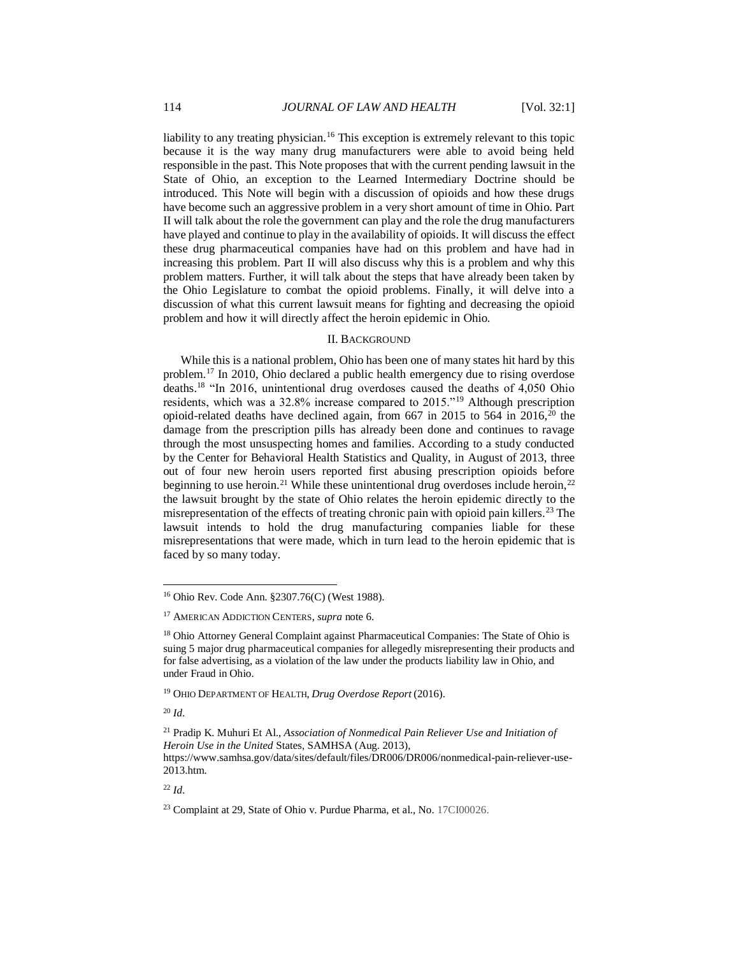liability to any treating physician.<sup>16</sup> This exception is extremely relevant to this topic because it is the way many drug manufacturers were able to avoid being held responsible in the past. This Note proposes that with the current pending lawsuit in the State of Ohio, an exception to the Learned Intermediary Doctrine should be introduced. This Note will begin with a discussion of opioids and how these drugs have become such an aggressive problem in a very short amount of time in Ohio. Part II will talk about the role the government can play and the role the drug manufacturers have played and continue to play in the availability of opioids. It will discuss the effect these drug pharmaceutical companies have had on this problem and have had in increasing this problem. Part II will also discuss why this is a problem and why this problem matters. Further, it will talk about the steps that have already been taken by the Ohio Legislature to combat the opioid problems. Finally, it will delve into a discussion of what this current lawsuit means for fighting and decreasing the opioid problem and how it will directly affect the heroin epidemic in Ohio.

## II. BACKGROUND

While this is a national problem, Ohio has been one of many states hit hard by this problem.<sup>17</sup> In 2010, Ohio declared a public health emergency due to rising overdose deaths.<sup>18</sup> "In 2016, unintentional drug overdoses caused the deaths of 4,050 Ohio residents, which was a 32.8% increase compared to 2015."<sup>19</sup> Although prescription opioid-related deaths have declined again, from 667 in 2015 to 564 in  $2016$ ,  $20$  the damage from the prescription pills has already been done and continues to ravage through the most unsuspecting homes and families. According to a study conducted by the Center for Behavioral Health Statistics and Quality, in August of 2013, three out of four new heroin users reported first abusing prescription opioids before beginning to use heroin.<sup>21</sup> While these unintentional drug overdoses include heroin,<sup>22</sup> the lawsuit brought by the state of Ohio relates the heroin epidemic directly to the misrepresentation of the effects of treating chronic pain with opioid pain killers.<sup>23</sup> The lawsuit intends to hold the drug manufacturing companies liable for these misrepresentations that were made, which in turn lead to the heroin epidemic that is faced by so many today.

<sup>20</sup> *Id.*

l

<sup>16</sup> Ohio Rev. Code Ann. §2307.76(C) (West 1988).

<sup>17</sup> AMERICAN ADDICTION CENTERS, *supra* note 6.

<sup>&</sup>lt;sup>18</sup> Ohio Attorney General Complaint against Pharmaceutical Companies: The State of Ohio is suing 5 major drug pharmaceutical companies for allegedly misrepresenting their products and for false advertising, as a violation of the law under the products liability law in Ohio, and under Fraud in Ohio.

<sup>19</sup> OHIO DEPARTMENT OF HEALTH, *Drug Overdose Report* (2016).

<sup>21</sup> Pradip K. Muhuri Et Al., *Association of Nonmedical Pain Reliever Use and Initiation of Heroin Use in the United* States, SAMHSA (Aug. 2013),

https://www.samhsa.gov/data/sites/default/files/DR006/DR006/nonmedical-pain-reliever-use-2013.htm.

<sup>23</sup> Complaint at 29, State of Ohio v. Purdue Pharma, et al., No. 17CI00026.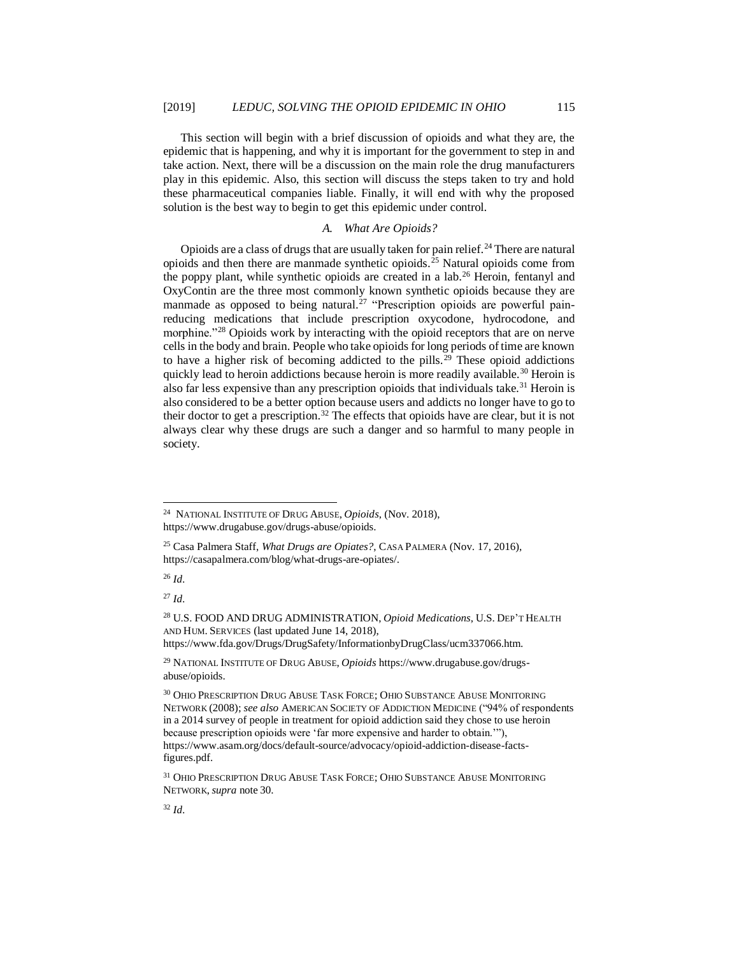This section will begin with a brief discussion of opioids and what they are, the epidemic that is happening, and why it is important for the government to step in and take action. Next, there will be a discussion on the main role the drug manufacturers play in this epidemic. Also, this section will discuss the steps taken to try and hold these pharmaceutical companies liable. Finally, it will end with why the proposed solution is the best way to begin to get this epidemic under control.

## *A. What Are Opioids?*

Opioids are a class of drugs that are usually taken for pain relief.<sup>24</sup> There are natural opioids and then there are manmade synthetic opioids.<sup>25</sup> Natural opioids come from the poppy plant, while synthetic opioids are created in a lab.<sup>26</sup> Heroin, fentanyl and OxyContin are the three most commonly known synthetic opioids because they are manmade as opposed to being natural.<sup>27</sup> "Prescription opioids are powerful painreducing medications that include prescription oxycodone, hydrocodone, and morphine."<sup>28</sup> Opioids work by interacting with the opioid receptors that are on nerve cells in the body and brain. People who take opioids for long periods of time are known to have a higher risk of becoming addicted to the pills.<sup>29</sup> These opioid addictions quickly lead to heroin addictions because heroin is more readily available.<sup>30</sup> Heroin is also far less expensive than any prescription opioids that individuals take.<sup>31</sup> Heroin is also considered to be a better option because users and addicts no longer have to go to their doctor to get a prescription.<sup>32</sup> The effects that opioids have are clear, but it is not always clear why these drugs are such a danger and so harmful to many people in society.

<sup>26</sup> *Id.*

<sup>27</sup> *Id.*

 24 NATIONAL INSTITUTE OF DRUG ABUSE, *Opioids*, (Nov. 2018), https://www.drugabuse.gov/drugs-abuse/opioids.

<sup>25</sup> Casa Palmera Staff, *What Drugs are Opiates?*, CASA PALMERA (Nov. 17, 2016), https://casapalmera.com/blog/what-drugs-are-opiates/.

<sup>28</sup> U.S. FOOD AND DRUG ADMINISTRATION, *Opioid Medications*, U.S. DEP'T HEALTH AND HUM. SERVICES (last updated June 14, 2018), https://www.fda.gov/Drugs/DrugSafety/InformationbyDrugClass/ucm337066.htm.

<sup>29</sup> NATIONAL INSTITUTE OF DRUG ABUSE, *Opioids* https://www.drugabuse.gov/drugsabuse/opioids.

<sup>30</sup> OHIO PRESCRIPTION DRUG ABUSE TASK FORCE; OHIO SUBSTANCE ABUSE MONITORING NETWORK (2008); *see also* AMERICAN SOCIETY OF ADDICTION MEDICINE ("94% of respondents in a 2014 survey of people in treatment for opioid addiction said they chose to use heroin because prescription opioids were 'far more expensive and harder to obtain.'"), https://www.asam.org/docs/default-source/advocacy/opioid-addiction-disease-factsfigures.pdf.

<sup>31</sup> OHIO PRESCRIPTION DRUG ABUSE TASK FORCE; OHIO SUBSTANCE ABUSE MONITORING NETWORK,*supra* note 30.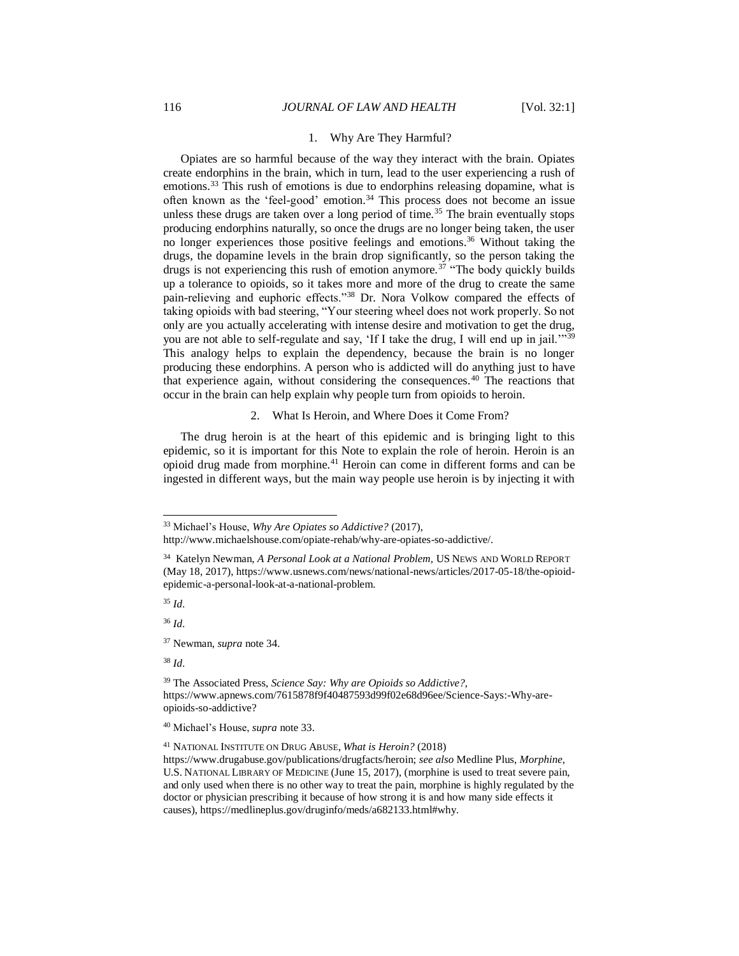#### 1. Why Are They Harmful?

Opiates are so harmful because of the way they interact with the brain. Opiates create endorphins in the brain, which in turn, lead to the user experiencing a rush of emotions.<sup>33</sup> This rush of emotions is due to endorphins releasing dopamine, what is often known as the 'feel-good' emotion.<sup>34</sup> This process does not become an issue unless these drugs are taken over a long period of time.<sup>35</sup> The brain eventually stops producing endorphins naturally, so once the drugs are no longer being taken, the user no longer experiences those positive feelings and emotions.<sup>36</sup> Without taking the drugs, the dopamine levels in the brain drop significantly, so the person taking the drugs is not experiencing this rush of emotion anymore.<sup>37</sup> "The body quickly builds up a tolerance to opioids, so it takes more and more of the drug to create the same pain-relieving and euphoric effects."<sup>38</sup> Dr. Nora Volkow compared the effects of taking opioids with bad steering, "Your steering wheel does not work properly. So not only are you actually accelerating with intense desire and motivation to get the drug, you are not able to self-regulate and say, 'If I take the drug, I will end up in jail."<sup>39</sup> This analogy helps to explain the dependency, because the brain is no longer producing these endorphins. A person who is addicted will do anything just to have that experience again, without considering the consequences.<sup>40</sup> The reactions that occur in the brain can help explain why people turn from opioids to heroin.

2. What Is Heroin, and Where Does it Come From?

The drug heroin is at the heart of this epidemic and is bringing light to this epidemic, so it is important for this Note to explain the role of heroin. Heroin is an opioid drug made from morphine.<sup>41</sup> Heroin can come in different forms and can be ingested in different ways, but the main way people use heroin is by injecting it with

<sup>35</sup> *Id.*

l

<sup>36</sup> *Id.*

<sup>37</sup> Newman, *supra* note 34.

<sup>38</sup> *Id.*

<sup>41</sup> NATIONAL INSTITUTE ON DRUG ABUSE, *What is Heroin?* (2018)

<sup>33</sup> Michael's House, *Why Are Opiates so Addictive?* (2017),

http://www.michaelshouse.com/opiate-rehab/why-are-opiates-so-addictive/.

<sup>34</sup> Katelyn Newman, *A Personal Look at a National Problem,* US NEWS AND WORLD REPORT (May 18, 2017), https://www.usnews.com/news/national-news/articles/2017-05-18/the-opioidepidemic-a-personal-look-at-a-national-problem.

<sup>39</sup> The Associated Press, *Science Say: Why are Opioids so Addictive?*, https://www.apnews.com/7615878f9f40487593d99f02e68d96ee/Science-Says:-Why-areopioids-so-addictive?

<sup>40</sup> Michael's House, *supra* note 33.

https://www.drugabuse.gov/publications/drugfacts/heroin; *see also* Medline Plus, *Morphine*, U.S. NATIONAL LIBRARY OF MEDICINE (June 15, 2017), (morphine is used to treat severe pain, and only used when there is no other way to treat the pain, morphine is highly regulated by the doctor or physician prescribing it because of how strong it is and how many side effects it causes), https://medlineplus.gov/druginfo/meds/a682133.html#why.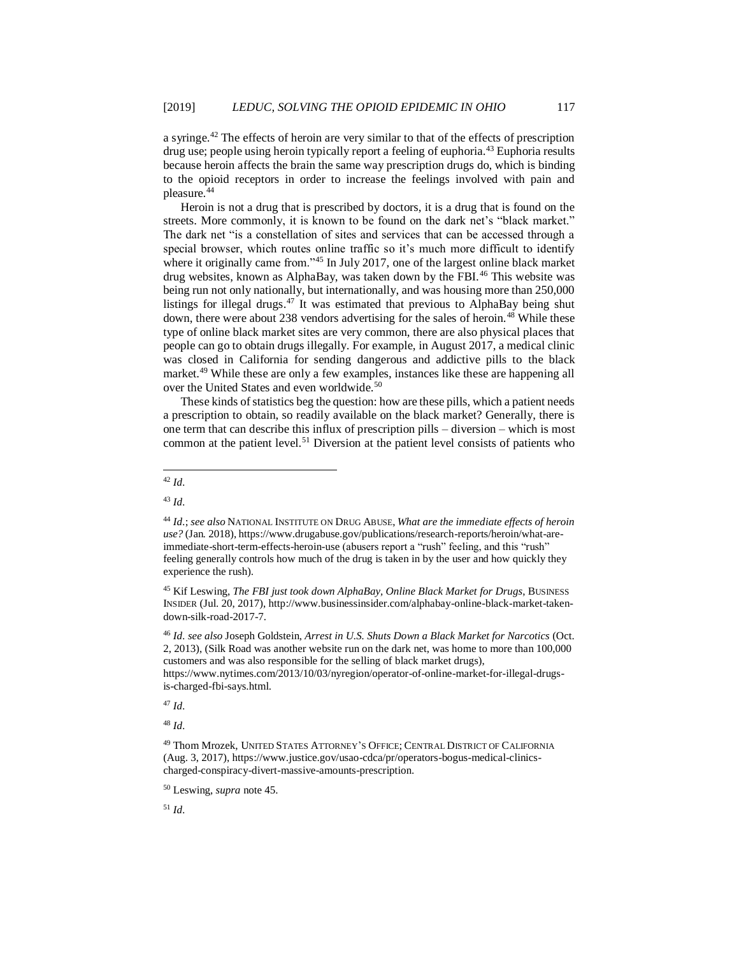a syringe.<sup>42</sup> The effects of heroin are very similar to that of the effects of prescription drug use; people using heroin typically report a feeling of euphoria.<sup>43</sup> Euphoria results because heroin affects the brain the same way prescription drugs do, which is binding to the opioid receptors in order to increase the feelings involved with pain and pleasure.<sup>44</sup>

Heroin is not a drug that is prescribed by doctors, it is a drug that is found on the streets. More commonly, it is known to be found on the dark net's "black market." The dark net "is a constellation of sites and services that can be accessed through a special browser, which routes online traffic so it's much more difficult to identify where it originally came from."<sup>45</sup> In July 2017, one of the largest online black market drug websites, known as AlphaBay, was taken down by the FBI.<sup>46</sup> This website was being run not only nationally, but internationally, and was housing more than 250,000 listings for illegal drugs. <sup>47</sup> It was estimated that previous to AlphaBay being shut down, there were about 238 vendors advertising for the sales of heroin.<sup>48</sup> While these type of online black market sites are very common, there are also physical places that people can go to obtain drugs illegally. For example, in August 2017, a medical clinic was closed in California for sending dangerous and addictive pills to the black market.<sup>49</sup> While these are only a few examples, instances like these are happening all over the United States and even worldwide.<sup>50</sup>

These kinds of statistics beg the question: how are these pills, which a patient needs a prescription to obtain, so readily available on the black market? Generally, there is one term that can describe this influx of prescription pills – diversion – which is most common at the patient level.<sup>51</sup> Diversion at the patient level consists of patients who

<sup>43</sup> *Id.*

<sup>47</sup> *Id.*

<sup>48</sup> *Id.*

l <sup>42</sup> *Id.* 

<sup>44</sup> *Id.*; *see also* NATIONAL INSTITUTE ON DRUG ABUSE, *What are the immediate effects of heroin use?* (Jan. 2018), https://www.drugabuse.gov/publications/research-reports/heroin/what-areimmediate-short-term-effects-heroin-use (abusers report a "rush" feeling, and this "rush" feeling generally controls how much of the drug is taken in by the user and how quickly they experience the rush).

<sup>&</sup>lt;sup>45</sup> Kif Leswing, *The FBI just took down AlphaBay, Online Black Market for Drugs*, BUSINESS INSIDER (Jul. 20, 2017), http://www.businessinsider.com/alphabay-online-black-market-takendown-silk-road-2017-7.

<sup>46</sup> *Id. see also* Joseph Goldstein, *Arrest in U.S. Shuts Down a Black Market for Narcotics* (Oct. 2, 2013), (Silk Road was another website run on the dark net, was home to more than 100,000 customers and was also responsible for the selling of black market drugs), https://www.nytimes.com/2013/10/03/nyregion/operator-of-online-market-for-illegal-drugsis-charged-fbi-says.html.

<sup>49</sup> Thom Mrozek, UNITED STATES ATTORNEY'S OFFICE; CENTRAL DISTRICT OF CALIFORNIA (Aug. 3, 2017), https://www.justice.gov/usao-cdca/pr/operators-bogus-medical-clinicscharged-conspiracy-divert-massive-amounts-prescription.

<sup>50</sup> Leswing, *supra* note 45.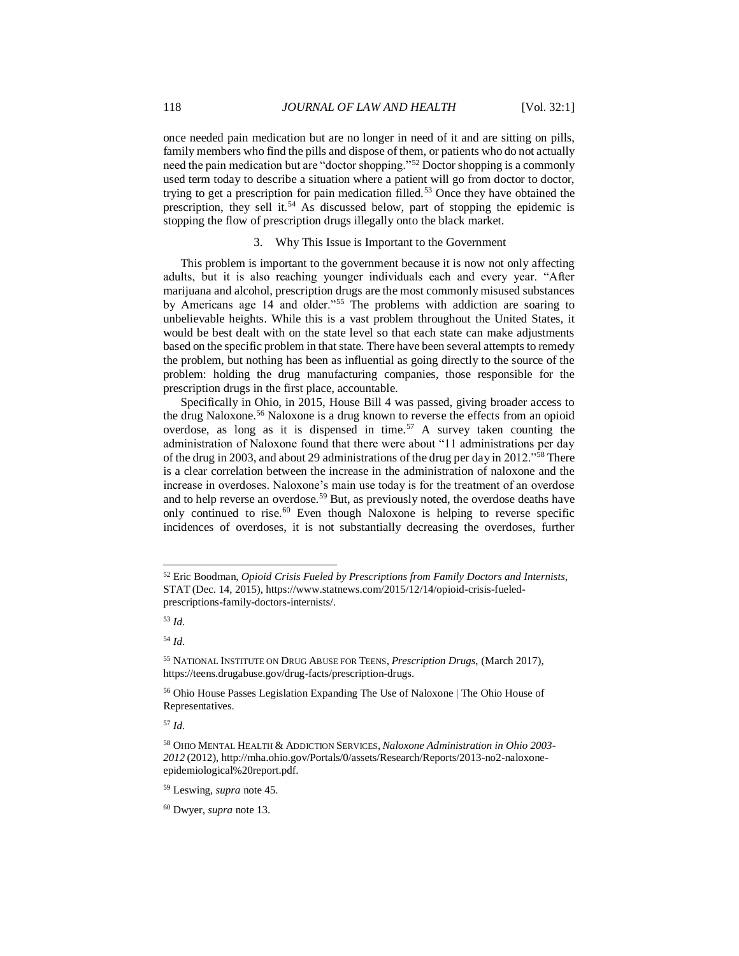once needed pain medication but are no longer in need of it and are sitting on pills, family members who find the pills and dispose of them, or patients who do not actually need the pain medication but are "doctor shopping."<sup>52</sup> Doctor shopping is a commonly used term today to describe a situation where a patient will go from doctor to doctor, trying to get a prescription for pain medication filled.<sup>53</sup> Once they have obtained the prescription, they sell it.<sup>54</sup> As discussed below, part of stopping the epidemic is stopping the flow of prescription drugs illegally onto the black market.

#### 3. Why This Issue is Important to the Government

This problem is important to the government because it is now not only affecting adults, but it is also reaching younger individuals each and every year. "After marijuana and alcohol, prescription drugs are the most commonly misused substances by Americans age 14 and older."<sup>55</sup> The problems with addiction are soaring to unbelievable heights. While this is a vast problem throughout the United States, it would be best dealt with on the state level so that each state can make adjustments based on the specific problem in that state. There have been several attempts to remedy the problem, but nothing has been as influential as going directly to the source of the problem: holding the drug manufacturing companies, those responsible for the prescription drugs in the first place, accountable.

Specifically in Ohio, in 2015, House Bill 4 was passed, giving broader access to the drug Naloxone.<sup>56</sup> Naloxone is a drug known to reverse the effects from an opioid overdose, as long as it is dispensed in time.<sup>57</sup> A survey taken counting the administration of Naloxone found that there were about "11 administrations per day of the drug in 2003, and about 29 administrations of the drug per day in 2012."<sup>58</sup> There is a clear correlation between the increase in the administration of naloxone and the increase in overdoses. Naloxone's main use today is for the treatment of an overdose and to help reverse an overdose.<sup>59</sup> But, as previously noted, the overdose deaths have only continued to rise.<sup>60</sup> Even though Naloxone is helping to reverse specific incidences of overdoses, it is not substantially decreasing the overdoses, further

l

<sup>52</sup> Eric Boodman, *Opioid Crisis Fueled by Prescriptions from Family Doctors and Internists*, STAT (Dec. 14, 2015), https://www.statnews.com/2015/12/14/opioid-crisis-fueledprescriptions-family-doctors-internists/.

<sup>53</sup> *Id.*

<sup>54</sup> *Id.*

<sup>55</sup> NATIONAL INSTITUTE ON DRUG ABUSE FOR TEENS, *Prescription Drugs*, (March 2017), https://teens.drugabuse.gov/drug-facts/prescription-drugs.

<sup>56</sup> Ohio House Passes Legislation Expanding The Use of Naloxone | The Ohio House of Representatives.

<sup>58</sup> OHIO MENTAL HEALTH & ADDICTION SERVICES, *Naloxone Administration in Ohio 2003- 2012* (2012), http://mha.ohio.gov/Portals/0/assets/Research/Reports/2013-no2-naloxoneepidemiological%20report.pdf.

<sup>59</sup> Leswing, *supra* note 45.

<sup>60</sup> Dwyer, *supra* note 13.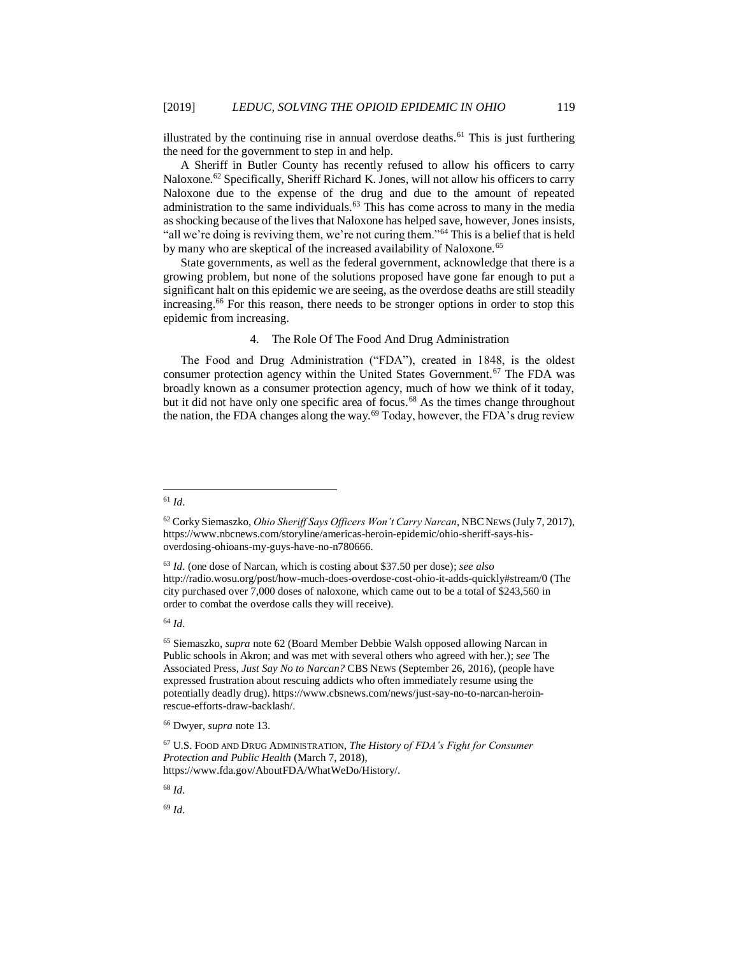illustrated by the continuing rise in annual overdose deaths.<sup> $61$ </sup> This is just furthering the need for the government to step in and help.

A Sheriff in Butler County has recently refused to allow his officers to carry Naloxone.<sup>62</sup> Specifically, Sheriff Richard K. Jones, will not allow his officers to carry Naloxone due to the expense of the drug and due to the amount of repeated administration to the same individuals.<sup>63</sup> This has come across to many in the media as shocking because of the lives that Naloxone has helped save, however, Jones insists, "all we're doing is reviving them, we're not curing them."<sup>64</sup> This is a belief that is held by many who are skeptical of the increased availability of Naloxone.<sup>65</sup>

State governments, as well as the federal government, acknowledge that there is a growing problem, but none of the solutions proposed have gone far enough to put a significant halt on this epidemic we are seeing, as the overdose deaths are still steadily increasing.<sup>66</sup> For this reason, there needs to be stronger options in order to stop this epidemic from increasing.

## 4. The Role Of The Food And Drug Administration

The Food and Drug Administration ("FDA"), created in 1848, is the oldest consumer protection agency within the United States Government.<sup>67</sup> The FDA was broadly known as a consumer protection agency, much of how we think of it today, but it did not have only one specific area of focus.<sup>68</sup> As the times change throughout the nation, the FDA changes along the way.<sup>69</sup> Today, however, the FDA's drug review

### l <sup>61</sup> *Id.*

<sup>62</sup> Corky Siemaszko, *Ohio Sheriff Says Officers Won't Carry Narcan*, NBCNEWS (July 7, 2017), https://www.nbcnews.com/storyline/americas-heroin-epidemic/ohio-sheriff-says-hisoverdosing-ohioans-my-guys-have-no-n780666.

<sup>63</sup> *Id.* (one dose of Narcan, which is costing about \$37.50 per dose); *see also* http://radio.wosu.org/post/how-much-does-overdose-cost-ohio-it-adds-quickly#stream/0 (The city purchased over 7,000 doses of naloxone, which came out to be a total of \$243,560 in order to combat the overdose calls they will receive).

<sup>65</sup> Siemaszko, *supra* note 62 (Board Member Debbie Walsh opposed allowing Narcan in Public schools in Akron; and was met with several others who agreed with her.); *see* The Associated Press, *Just Say No to Narcan?* CBS NEWS (September 26, 2016), (people have expressed frustration about rescuing addicts who often immediately resume using the potentially deadly drug). https://www.cbsnews.com/news/just-say-no-to-narcan-heroinrescue-efforts-draw-backlash/.

<sup>66</sup> Dwyer, *supra* note 13.

<sup>67</sup> U.S. FOOD AND DRUG ADMINISTRATION, *The History of FDA's Fight for Consumer Protection and Public Health* (March 7, 2018), https://www.fda.gov/AboutFDA/WhatWeDo/History/.

<sup>68</sup> *Id.*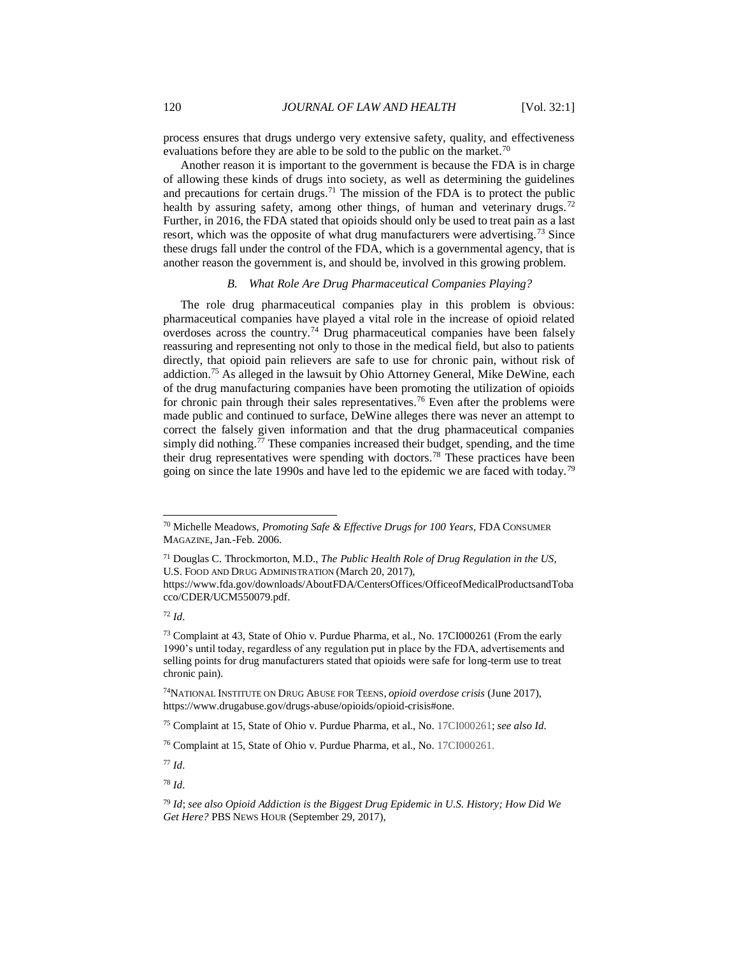process ensures that drugs undergo very extensive safety, quality, and effectiveness evaluations before they are able to be sold to the public on the market.<sup>70</sup>

Another reason it is important to the government is because the FDA is in charge of allowing these kinds of drugs into society, as well as determining the guidelines and precautions for certain drugs.<sup>71</sup> The mission of the FDA is to protect the public health by assuring safety, among other things, of human and veterinary drugs.<sup>72</sup> Further, in 2016, the FDA stated that opioids should only be used to treat pain as a last resort, which was the opposite of what drug manufacturers were advertising.<sup>73</sup> Since these drugs fall under the control of the FDA, which is a governmental agency, that is another reason the government is, and should be, involved in this growing problem.

## *B. What Role Are Drug Pharmaceutical Companies Playing?*

The role drug pharmaceutical companies play in this problem is obvious: pharmaceutical companies have played a vital role in the increase of opioid related overdoses across the country.<sup>74</sup> Drug pharmaceutical companies have been falsely reassuring and representing not only to those in the medical field, but also to patients directly, that opioid pain relievers are safe to use for chronic pain, without risk of addiction.<sup>75</sup> As alleged in the lawsuit by Ohio Attorney General, Mike DeWine, each of the drug manufacturing companies have been promoting the utilization of opioids for chronic pain through their sales representatives.<sup>76</sup> Even after the problems were made public and continued to surface, DeWine alleges there was never an attempt to correct the falsely given information and that the drug pharmaceutical companies simply did nothing.<sup>77</sup> These companies increased their budget, spending, and the time their drug representatives were spending with doctors.<sup>78</sup> These practices have been going on since the late 1990s and have led to the epidemic we are faced with today.<sup>79</sup>

<sup>72</sup> *Id.* 

<sup>70</sup> Michelle Meadows, *Promoting Safe & Effective Drugs for 100 Years*, FDA CONSUMER MAGAZINE, Jan.-Feb. 2006.

<sup>71</sup> Douglas C. Throckmorton, M.D., *The Public Health Role of Drug Regulation in the US*, U.S. FOOD AND DRUG ADMINISTRATION (March 20, 2017),

https://www.fda.gov/downloads/AboutFDA/CentersOffices/OfficeofMedicalProductsandToba cco/CDER/UCM550079.pdf.

<sup>73</sup> Complaint at 43, State of Ohio v. Purdue Pharma, et al., No. 17CI000261 (From the early 1990's until today, regardless of any regulation put in place by the FDA, advertisements and selling points for drug manufacturers stated that opioids were safe for long-term use to treat chronic pain).

<sup>74</sup>NATIONAL INSTITUTE ON DRUG ABUSE FOR TEENS, *opioid overdose crisis* (June 2017), https://www.drugabuse.gov/drugs-abuse/opioids/opioid-crisis#one.

<sup>75</sup> Complaint at 15, State of Ohio v. Purdue Pharma, et al., No. 17CI000261; *see also Id.*

<sup>76</sup> Complaint at 15, State of Ohio v. Purdue Pharma, et al., No. 17CI000261.

<sup>77</sup> *Id.*

<sup>78</sup> *Id.*

<sup>79</sup> *Id*; *see also Opioid Addiction is the Biggest Drug Epidemic in U.S. History; How Did We Get Here?* PBS NEWS HOUR (September 29, 2017),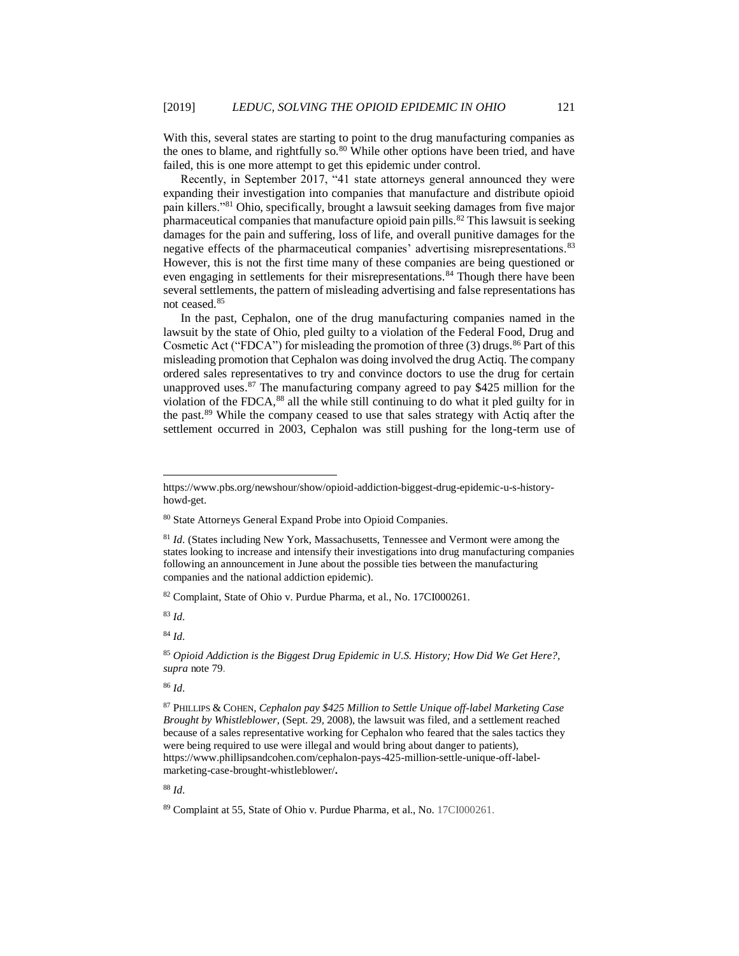With this, several states are starting to point to the drug manufacturing companies as the ones to blame, and rightfully so. $80$  While other options have been tried, and have failed, this is one more attempt to get this epidemic under control.

Recently, in September 2017, "41 state attorneys general announced they were expanding their investigation into companies that manufacture and distribute opioid pain killers."<sup>81</sup> Ohio, specifically, brought a lawsuit seeking damages from five major pharmaceutical companies that manufacture opioid pain pills.<sup>82</sup> This lawsuit is seeking damages for the pain and suffering, loss of life, and overall punitive damages for the negative effects of the pharmaceutical companies' advertising misrepresentations.<sup>83</sup> However, this is not the first time many of these companies are being questioned or even engaging in settlements for their misrepresentations.<sup>84</sup> Though there have been several settlements, the pattern of misleading advertising and false representations has not ceased.<sup>85</sup>

In the past, Cephalon, one of the drug manufacturing companies named in the lawsuit by the state of Ohio, pled guilty to a violation of the Federal Food, Drug and Cosmetic Act ("FDCA") for misleading the promotion of three  $(3)$  drugs.<sup>86</sup> Part of this misleading promotion that Cephalon was doing involved the drug Actiq. The company ordered sales representatives to try and convince doctors to use the drug for certain unapproved uses. $87$  The manufacturing company agreed to pay \$425 million for the violation of the FDCA,<sup>88</sup> all the while still continuing to do what it pled guilty for in the past.<sup>89</sup> While the company ceased to use that sales strategy with Actiq after the settlement occurred in 2003, Cephalon was still pushing for the long-term use of

<sup>82</sup> Complaint, State of Ohio v. Purdue Pharma, et al., No. 17CI000261.

<sup>83</sup> *Id.*

l

<sup>84</sup> *Id.*

<sup>85</sup> *Opioid Addiction is the Biggest Drug Epidemic in U.S. History; How Did We Get Here?, supra* note 79.

<sup>86</sup> *Id.*

https://www.pbs.org/newshour/show/opioid-addiction-biggest-drug-epidemic-u-s-historyhowd-get.

<sup>80</sup> State Attorneys General Expand Probe into Opioid Companies.

<sup>81</sup> *Id.* (States including New York, Massachusetts, Tennessee and Vermont were among the states looking to increase and intensify their investigations into drug manufacturing companies following an announcement in June about the possible ties between the manufacturing companies and the national addiction epidemic).

<sup>87</sup> PHILLIPS & COHEN, *Cephalon pay \$425 Million to Settle Unique off-label Marketing Case Brought by Whistleblower*, (Sept. 29, 2008), the lawsuit was filed, and a settlement reached because of a sales representative working for Cephalon who feared that the sales tactics they were being required to use were illegal and would bring about danger to patients), https://www.phillipsandcohen.com/cephalon-pays-425-million-settle-unique-off-labelmarketing-case-brought-whistleblower/**.**

<sup>89</sup> Complaint at 55, State of Ohio v. Purdue Pharma, et al., No. 17CI000261.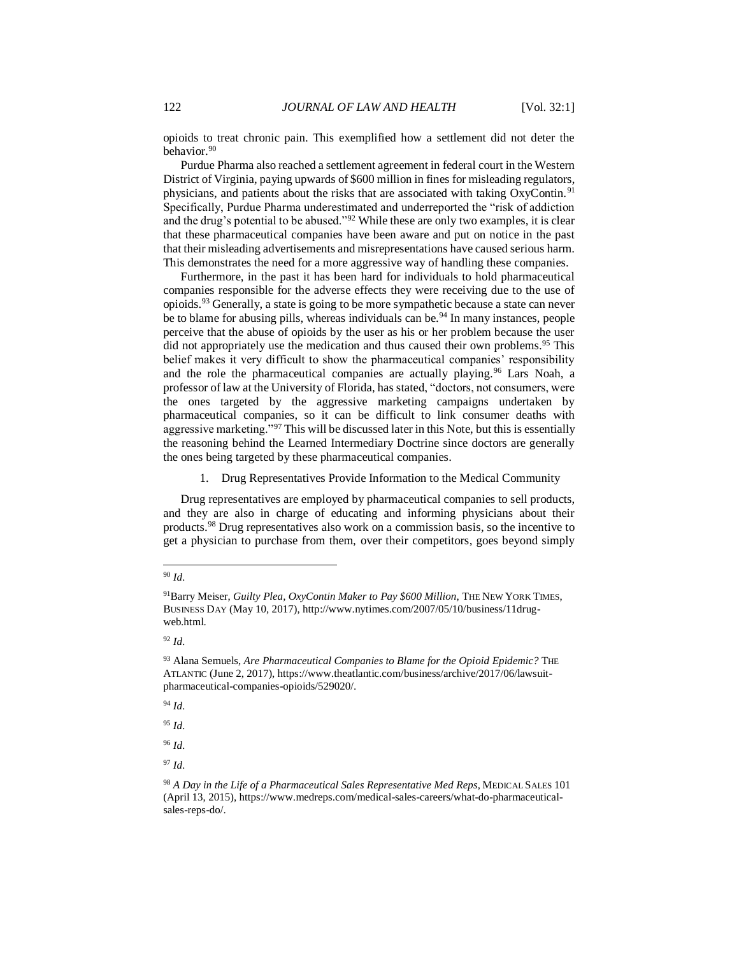opioids to treat chronic pain. This exemplified how a settlement did not deter the behavior.<sup>90</sup>

Purdue Pharma also reached a settlement agreement in federal court in the Western District of Virginia, paying upwards of \$600 million in fines for misleading regulators, physicians, and patients about the risks that are associated with taking OxyContin.<sup>91</sup> Specifically, Purdue Pharma underestimated and underreported the "risk of addiction and the drug's potential to be abused."<sup>92</sup> While these are only two examples, it is clear that these pharmaceutical companies have been aware and put on notice in the past that their misleading advertisements and misrepresentations have caused serious harm. This demonstrates the need for a more aggressive way of handling these companies.

Furthermore, in the past it has been hard for individuals to hold pharmaceutical companies responsible for the adverse effects they were receiving due to the use of opioids.<sup>93</sup> Generally, a state is going to be more sympathetic because a state can never be to blame for abusing pills, whereas individuals can be.<sup>94</sup> In many instances, people perceive that the abuse of opioids by the user as his or her problem because the user did not appropriately use the medication and thus caused their own problems.<sup>95</sup> This belief makes it very difficult to show the pharmaceutical companies' responsibility and the role the pharmaceutical companies are actually playing.<sup>96</sup> Lars Noah, a professor of law at the University of Florida, has stated, "doctors, not consumers, were the ones targeted by the aggressive marketing campaigns undertaken by pharmaceutical companies, so it can be difficult to link consumer deaths with aggressive marketing."<sup>97</sup> This will be discussed later in this Note, but this is essentially the reasoning behind the Learned Intermediary Doctrine since doctors are generally the ones being targeted by these pharmaceutical companies.

1. Drug Representatives Provide Information to the Medical Community

Drug representatives are employed by pharmaceutical companies to sell products, and they are also in charge of educating and informing physicians about their products.<sup>98</sup> Drug representatives also work on a commission basis, so the incentive to get a physician to purchase from them, over their competitors, goes beyond simply

l <sup>90</sup> *Id.*

<sup>91</sup>Barry Meiser, *Guilty Plea, OxyContin Maker to Pay \$600 Million*, THE NEW YORK TIMES, BUSINESS DAY (May 10, 2017), http://www.nytimes.com/2007/05/10/business/11drugweb.html.

<sup>92</sup> *Id.*

<sup>93</sup> Alana Semuels, *Are Pharmaceutical Companies to Blame for the Opioid Epidemic?* THE ATLANTIC (June 2, 2017), https://www.theatlantic.com/business/archive/2017/06/lawsuitpharmaceutical-companies-opioids/529020/.

<sup>94</sup> *Id.*

<sup>95</sup> *Id.* 

<sup>96</sup> *Id.* 

<sup>97</sup> *Id.* 

<sup>98</sup> *A Day in the Life of a Pharmaceutical Sales Representative Med Reps*, MEDICAL SALES 101 (April 13, 2015), https://www.medreps.com/medical-sales-careers/what-do-pharmaceuticalsales-reps-do/.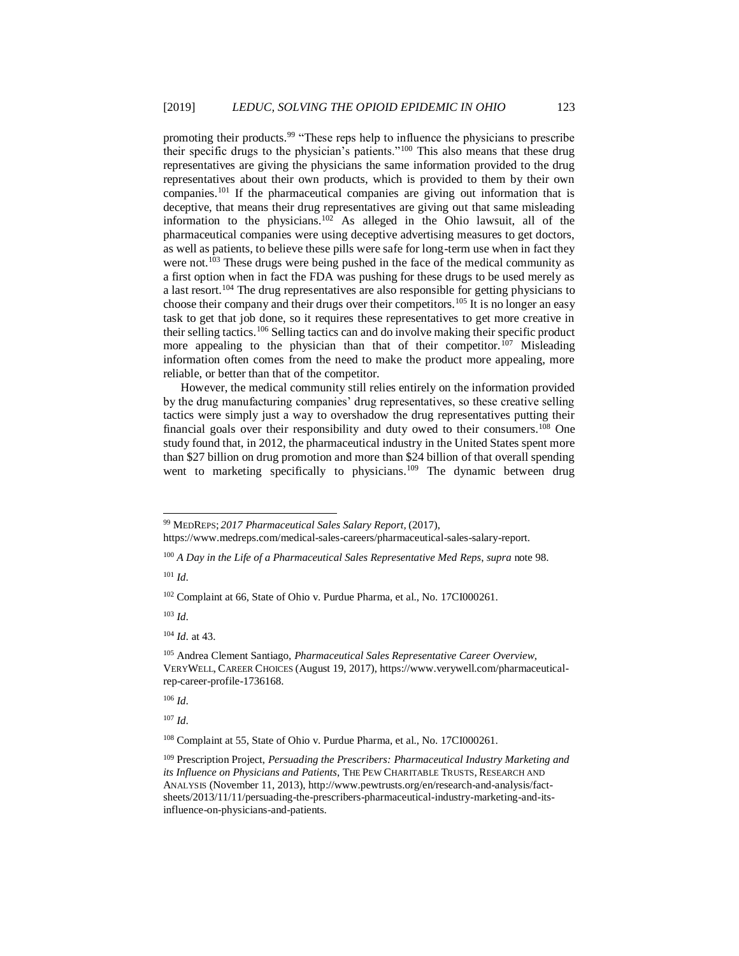promoting their products.<sup>99</sup> "These reps help to influence the physicians to prescribe their specific drugs to the physician's patients."<sup>100</sup> This also means that these drug representatives are giving the physicians the same information provided to the drug representatives about their own products, which is provided to them by their own companies.<sup>101</sup> If the pharmaceutical companies are giving out information that is deceptive, that means their drug representatives are giving out that same misleading information to the physicians.<sup>102</sup> As alleged in the Ohio lawsuit, all of the pharmaceutical companies were using deceptive advertising measures to get doctors, as well as patients, to believe these pills were safe for long-term use when in fact they were not.<sup>103</sup> These drugs were being pushed in the face of the medical community as a first option when in fact the FDA was pushing for these drugs to be used merely as a last resort.<sup>104</sup> The drug representatives are also responsible for getting physicians to choose their company and their drugs over their competitors.<sup>105</sup> It is no longer an easy task to get that job done, so it requires these representatives to get more creative in their selling tactics.<sup>106</sup> Selling tactics can and do involve making their specific product more appealing to the physician than that of their competitor.<sup>107</sup> Misleading information often comes from the need to make the product more appealing, more reliable, or better than that of the competitor.

However, the medical community still relies entirely on the information provided by the drug manufacturing companies' drug representatives, so these creative selling tactics were simply just a way to overshadow the drug representatives putting their financial goals over their responsibility and duty owed to their consumers.<sup>108</sup> One study found that, in 2012, the pharmaceutical industry in the United States spent more than \$27 billion on drug promotion and more than \$24 billion of that overall spending went to marketing specifically to physicians.<sup>109</sup> The dynamic between drug

https://www.medreps.com/medical-sales-careers/pharmaceutical-sales-salary-report.

<sup>100</sup> *A Day in the Life of a Pharmaceutical Sales Representative Med Reps*, *supra* note 98.

<sup>101</sup> *Id.*

l

<sup>102</sup> Complaint at 66, State of Ohio v. Purdue Pharma, et al., No. 17CI000261.

<sup>103</sup> *Id.*

<sup>104</sup> *Id.* at 43.

<sup>106</sup> *Id.*

<sup>107</sup> *Id.*

<sup>108</sup> Complaint at 55, State of Ohio v. Purdue Pharma, et al., No. 17CI000261.

<sup>99</sup> MEDREPS; *2017 Pharmaceutical Sales Salary Report,* (2017),

<sup>105</sup> Andrea Clement Santiago, *Pharmaceutical Sales Representative Career Overview*, VERYWELL, CAREER CHOICES (August 19, 2017), https://www.verywell.com/pharmaceuticalrep-career-profile-1736168.

<sup>109</sup> Prescription Project, *Persuading the Prescribers: Pharmaceutical Industry Marketing and its Influence on Physicians and Patients*, THE PEW CHARITABLE TRUSTS, RESEARCH AND ANALYSIS (November 11, 2013), http://www.pewtrusts.org/en/research-and-analysis/factsheets/2013/11/11/persuading-the-prescribers-pharmaceutical-industry-marketing-and-itsinfluence-on-physicians-and-patients.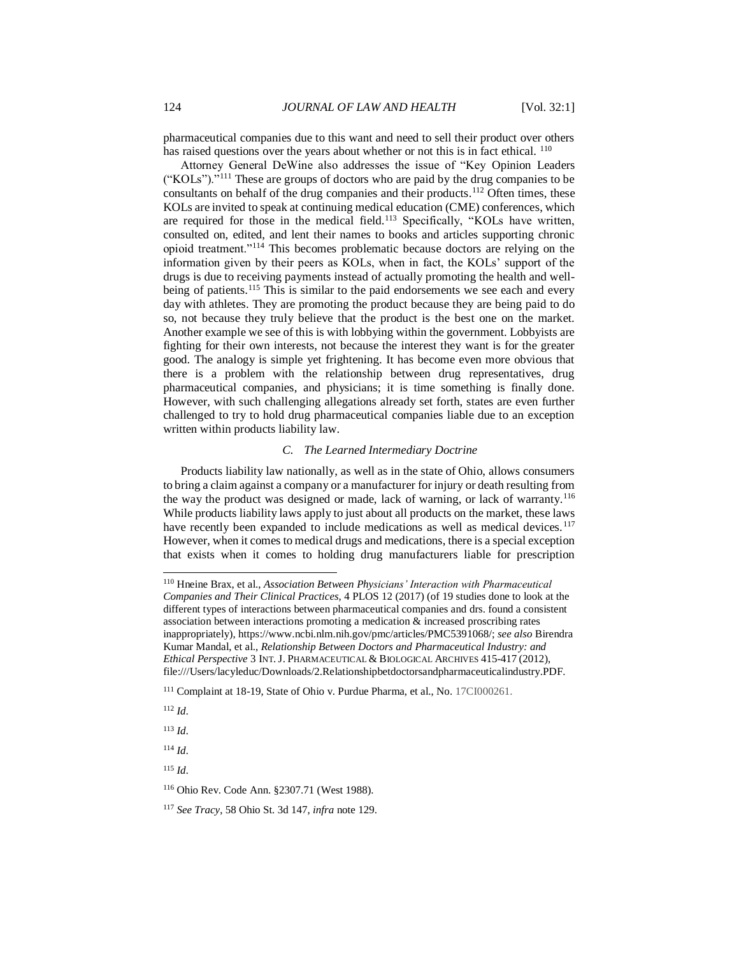pharmaceutical companies due to this want and need to sell their product over others has raised questions over the years about whether or not this is in fact ethical. <sup>110</sup>

Attorney General DeWine also addresses the issue of "Key Opinion Leaders ("KOLs")."<sup>111</sup> These are groups of doctors who are paid by the drug companies to be consultants on behalf of the drug companies and their products.<sup>112</sup> Often times, these KOLs are invited to speak at continuing medical education (CME) conferences, which are required for those in the medical field.<sup>113</sup> Specifically, "KOLs have written, consulted on, edited, and lent their names to books and articles supporting chronic opioid treatment."<sup>114</sup> This becomes problematic because doctors are relying on the information given by their peers as KOLs, when in fact, the KOLs' support of the drugs is due to receiving payments instead of actually promoting the health and wellbeing of patients.<sup>115</sup> This is similar to the paid endorsements we see each and every day with athletes. They are promoting the product because they are being paid to do so, not because they truly believe that the product is the best one on the market. Another example we see of this is with lobbying within the government. Lobbyists are fighting for their own interests, not because the interest they want is for the greater good. The analogy is simple yet frightening. It has become even more obvious that there is a problem with the relationship between drug representatives, drug pharmaceutical companies, and physicians; it is time something is finally done. However, with such challenging allegations already set forth, states are even further challenged to try to hold drug pharmaceutical companies liable due to an exception written within products liability law.

## *C. The Learned Intermediary Doctrine*

Products liability law nationally, as well as in the state of Ohio, allows consumers to bring a claim against a company or a manufacturer for injury or death resulting from the way the product was designed or made, lack of warning, or lack of warranty.<sup>116</sup> While products liability laws apply to just about all products on the market, these laws have recently been expanded to include medications as well as medical devices.<sup>117</sup> However, when it comes to medical drugs and medications, there is a special exception that exists when it comes to holding drug manufacturers liable for prescription

<sup>112</sup> *Id.*

l

<sup>113</sup> *Id.*

<sup>114</sup> *Id.*

<sup>110</sup> Hneine Brax, et al., *Association Between Physicians' Interaction with Pharmaceutical Companies and Their Clinical Practices,* 4 PLOS 12 (2017) (of 19 studies done to look at the different types of interactions between pharmaceutical companies and drs. found a consistent association between interactions promoting a medication & increased proscribing rates inappropriately), https://www.ncbi.nlm.nih.gov/pmc/articles/PMC5391068/; *see also* Birendra Kumar Mandal, et al., *Relationship Between Doctors and Pharmaceutical Industry: and Ethical Perspective* 3 INT.J. PHARMACEUTICAL & BIOLOGICAL ARCHIVES 415-417 (2012), file:///Users/lacyleduc/Downloads/2.Relationshipbetdoctorsandpharmaceuticalindustry.PDF.

<sup>111</sup> Complaint at 18-19, State of Ohio v. Purdue Pharma, et al., No. 17CI000261.

<sup>116</sup> Ohio Rev. Code Ann. §2307.71 (West 1988).

<sup>117</sup> *See Tracy*, 58 Ohio St. 3d 147, *infra* note 129.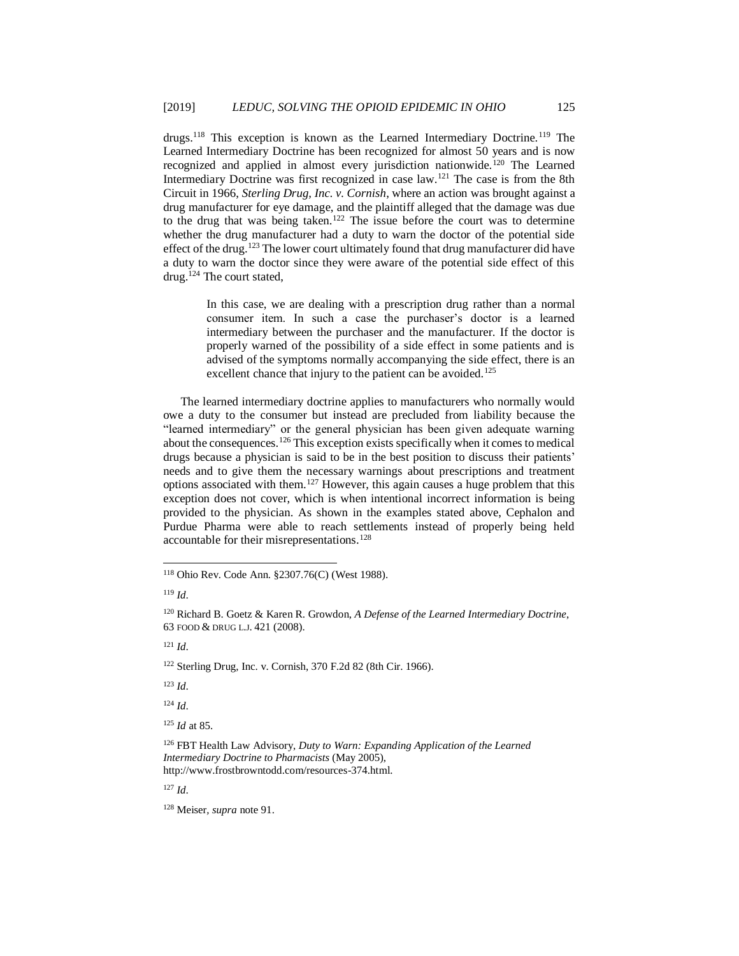drugs.<sup>118</sup> This exception is known as the Learned Intermediary Doctrine.<sup>119</sup> The Learned Intermediary Doctrine has been recognized for almost 50 years and is now recognized and applied in almost every jurisdiction nationwide.<sup>120</sup> The Learned Intermediary Doctrine was first recognized in case law.<sup>121</sup> The case is from the 8th Circuit in 1966, *Sterling Drug, Inc. v. Cornish*, where an action was brought against a drug manufacturer for eye damage, and the plaintiff alleged that the damage was due to the drug that was being taken.<sup>122</sup> The issue before the court was to determine whether the drug manufacturer had a duty to warn the doctor of the potential side effect of the drug.<sup>123</sup> The lower court ultimately found that drug manufacturer did have a duty to warn the doctor since they were aware of the potential side effect of this drug.<sup>124</sup> The court stated,

> In this case, we are dealing with a prescription drug rather than a normal consumer item. In such a case the purchaser's doctor is a learned intermediary between the purchaser and the manufacturer. If the doctor is properly warned of the possibility of a side effect in some patients and is advised of the symptoms normally accompanying the side effect, there is an excellent chance that injury to the patient can be avoided.<sup>125</sup>

The learned intermediary doctrine applies to manufacturers who normally would owe a duty to the consumer but instead are precluded from liability because the "learned intermediary" or the general physician has been given adequate warning about the consequences.<sup>126</sup> This exception exists specifically when it comes to medical drugs because a physician is said to be in the best position to discuss their patients' needs and to give them the necessary warnings about prescriptions and treatment options associated with them.<sup>127</sup> However, this again causes a huge problem that this exception does not cover, which is when intentional incorrect information is being provided to the physician. As shown in the examples stated above, Cephalon and Purdue Pharma were able to reach settlements instead of properly being held accountable for their misrepresentations.<sup>128</sup>

l

<sup>121</sup> *Id.*

<sup>122</sup> Sterling Drug, Inc. v. Cornish, 370 F.2d 82 (8th Cir. 1966).

<sup>123</sup> *Id.*

<sup>124</sup> *Id.*

<sup>125</sup> *Id* at 85.

<sup>127</sup> *Id.*

<sup>128</sup> Meiser*, supra* note 91.

<sup>118</sup> Ohio Rev. Code Ann. §2307.76(C) (West 1988).

<sup>119</sup> *Id.*

<sup>120</sup> Richard B. Goetz & Karen R. Growdon, *A Defense of the Learned Intermediary Doctrine*, 63 FOOD & DRUG L.J. 421 (2008).

<sup>126</sup> FBT Health Law Advisory, *Duty to Warn: Expanding Application of the Learned Intermediary Doctrine to Pharmacists* (May 2005), http://www.frostbrowntodd.com/resources-374.html.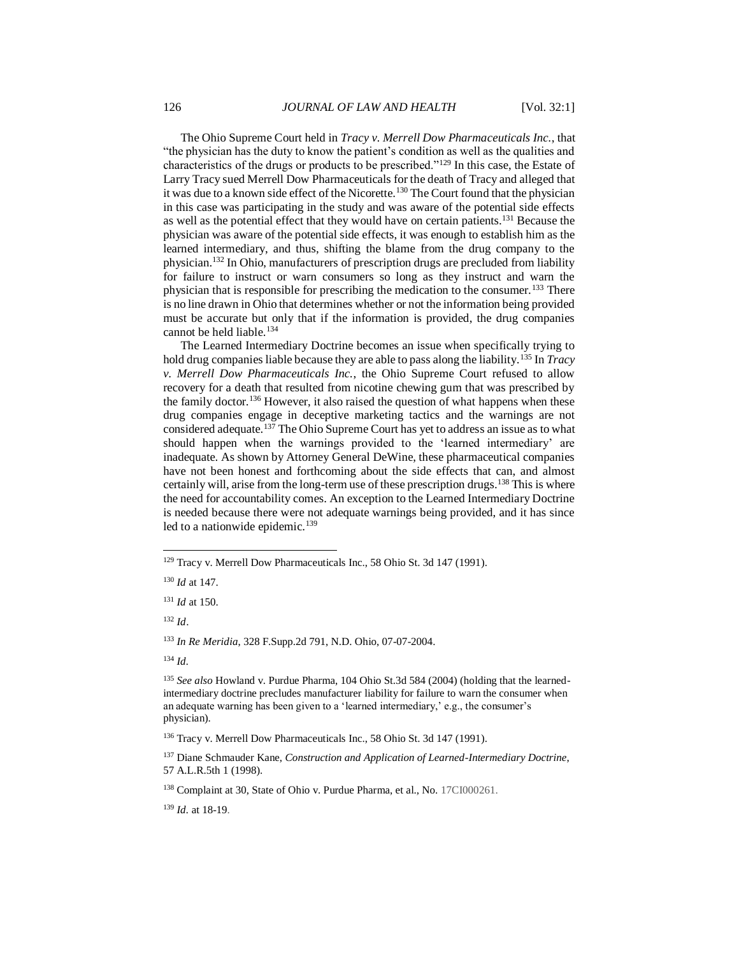The Ohio Supreme Court held in *Tracy v. Merrell Dow Pharmaceuticals Inc.*, that "the physician has the duty to know the patient's condition as well as the qualities and characteristics of the drugs or products to be prescribed."<sup>129</sup> In this case, the Estate of Larry Tracy sued Merrell Dow Pharmaceuticals for the death of Tracy and alleged that it was due to a known side effect of the Nicorette.<sup>130</sup> The Court found that the physician in this case was participating in the study and was aware of the potential side effects as well as the potential effect that they would have on certain patients.<sup>131</sup> Because the physician was aware of the potential side effects, it was enough to establish him as the learned intermediary, and thus, shifting the blame from the drug company to the physician.<sup>132</sup> In Ohio, manufacturers of prescription drugs are precluded from liability for failure to instruct or warn consumers so long as they instruct and warn the physician that is responsible for prescribing the medication to the consumer.<sup>133</sup> There is no line drawn in Ohio that determines whether or not the information being provided must be accurate but only that if the information is provided, the drug companies cannot be held liable.<sup>134</sup>

The Learned Intermediary Doctrine becomes an issue when specifically trying to hold drug companies liable because they are able to pass along the liability.<sup>135</sup> In *Tracy v. Merrell Dow Pharmaceuticals Inc.*, the Ohio Supreme Court refused to allow recovery for a death that resulted from nicotine chewing gum that was prescribed by the family doctor.<sup>136</sup> However, it also raised the question of what happens when these drug companies engage in deceptive marketing tactics and the warnings are not considered adequate.<sup>137</sup> The Ohio Supreme Court has yet to address an issue as to what should happen when the warnings provided to the 'learned intermediary' are inadequate. As shown by Attorney General DeWine, these pharmaceutical companies have not been honest and forthcoming about the side effects that can, and almost certainly will, arise from the long-term use of these prescription drugs.<sup>138</sup> This is where the need for accountability comes. An exception to the Learned Intermediary Doctrine is needed because there were not adequate warnings being provided, and it has since led to a nationwide epidemic. $139$ 

<sup>132</sup> *Id*.

l

<sup>133</sup> *In Re Meridia*, 328 F.Supp.2d 791, N.D. Ohio, 07-07-2004.

<sup>134</sup> *Id.*

<sup>139</sup> *Id.* at 18-19.

<sup>129</sup> Tracy v. Merrell Dow Pharmaceuticals Inc., 58 Ohio St. 3d 147 (1991).

<sup>130</sup> *Id* at 147.

<sup>131</sup> *Id* at 150.

<sup>135</sup> *See also* Howland v. Purdue Pharma, 104 Ohio St.3d 584 (2004) (holding that the learnedintermediary doctrine precludes manufacturer liability for failure to warn the consumer when an adequate warning has been given to a 'learned intermediary,' e.g., the consumer's physician).

<sup>136</sup> Tracy v. Merrell Dow Pharmaceuticals Inc., 58 Ohio St. 3d 147 (1991).

<sup>137</sup> Diane Schmauder Kane, *Construction and Application of Learned-Intermediary Doctrine*, 57 A.L.R.5th 1 (1998).

<sup>138</sup> Complaint at 30, State of Ohio v. Purdue Pharma, et al., No. 17CI000261.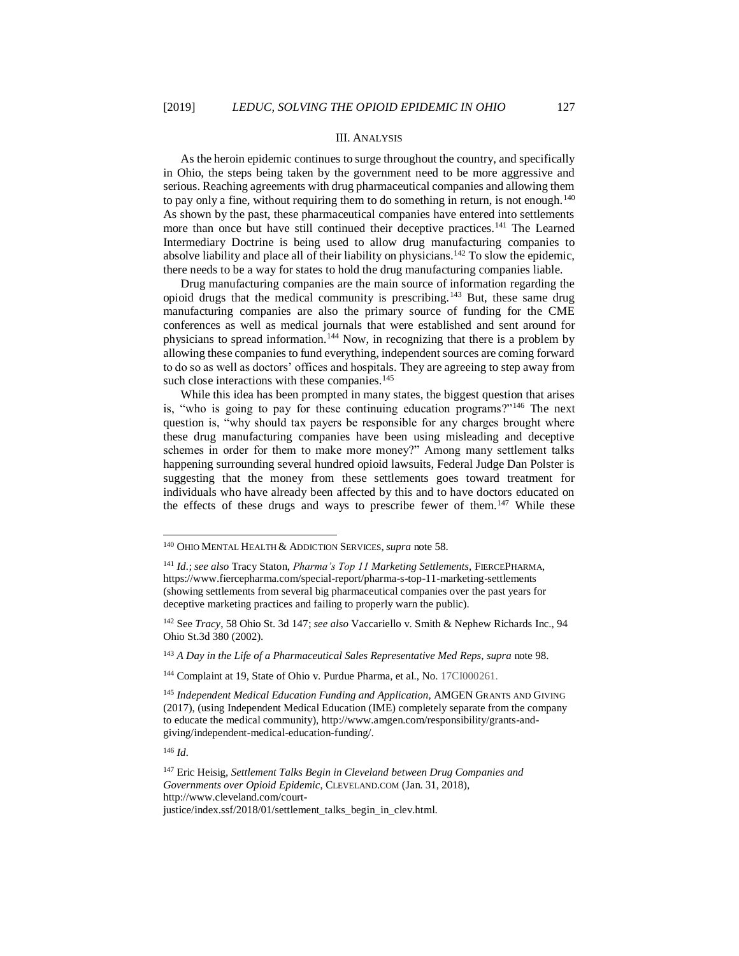#### III. ANALYSIS

As the heroin epidemic continues to surge throughout the country, and specifically in Ohio, the steps being taken by the government need to be more aggressive and serious. Reaching agreements with drug pharmaceutical companies and allowing them to pay only a fine, without requiring them to do something in return, is not enough.<sup>140</sup> As shown by the past, these pharmaceutical companies have entered into settlements more than once but have still continued their deceptive practices.<sup>141</sup> The Learned Intermediary Doctrine is being used to allow drug manufacturing companies to absolve liability and place all of their liability on physicians.<sup>142</sup> To slow the epidemic, there needs to be a way for states to hold the drug manufacturing companies liable.

Drug manufacturing companies are the main source of information regarding the opioid drugs that the medical community is prescribing.<sup>143</sup> But, these same drug manufacturing companies are also the primary source of funding for the CME conferences as well as medical journals that were established and sent around for physicians to spread information.<sup>144</sup> Now, in recognizing that there is a problem by allowing these companies to fund everything, independent sources are coming forward to do so as well as doctors' offices and hospitals. They are agreeing to step away from such close interactions with these companies.<sup>145</sup>

While this idea has been prompted in many states, the biggest question that arises is, "who is going to pay for these continuing education programs?"<sup>146</sup> The next question is, "why should tax payers be responsible for any charges brought where these drug manufacturing companies have been using misleading and deceptive schemes in order for them to make more money?" Among many settlement talks happening surrounding several hundred opioid lawsuits, Federal Judge Dan Polster is suggesting that the money from these settlements goes toward treatment for individuals who have already been affected by this and to have doctors educated on the effects of these drugs and ways to prescribe fewer of them.<sup>147</sup> While these

<sup>143</sup> *A Day in the Life of a Pharmaceutical Sales Representative Med Reps*, *supra* note 98.

<sup>146</sup> *Id.*

<sup>140</sup> OHIO MENTAL HEALTH & ADDICTION SERVICES,*supra* note 58.

<sup>&</sup>lt;sup>141</sup> *Id.*; see also Tracy Staton, *Pharma's Top 11 Marketing Settlements*, FIERCEPHARMA, https://www.fiercepharma.com/special-report/pharma-s-top-11-marketing-settlements (showing settlements from several big pharmaceutical companies over the past years for deceptive marketing practices and failing to properly warn the public).

<sup>142</sup> See *Tracy*, 58 Ohio St. 3d 147; *see also* Vaccariello v. Smith & Nephew Richards Inc., 94 Ohio St.3d 380 (2002).

<sup>144</sup> Complaint at 19, State of Ohio v. Purdue Pharma, et al., No. 17CI000261.

<sup>145</sup> *Independent Medical Education Funding and Application*, AMGEN GRANTS AND GIVING (2017), (using Independent Medical Education (IME) completely separate from the company to educate the medical community), http://www.amgen.com/responsibility/grants-andgiving/independent-medical-education-funding/.

<sup>147</sup> Eric Heisig, *Settlement Talks Begin in Cleveland between Drug Companies and Governments over Opioid Epidemic*, CLEVELAND.COM (Jan. 31, 2018), http://www.cleveland.com/courtjustice/index.ssf/2018/01/settlement\_talks\_begin\_in\_clev.html.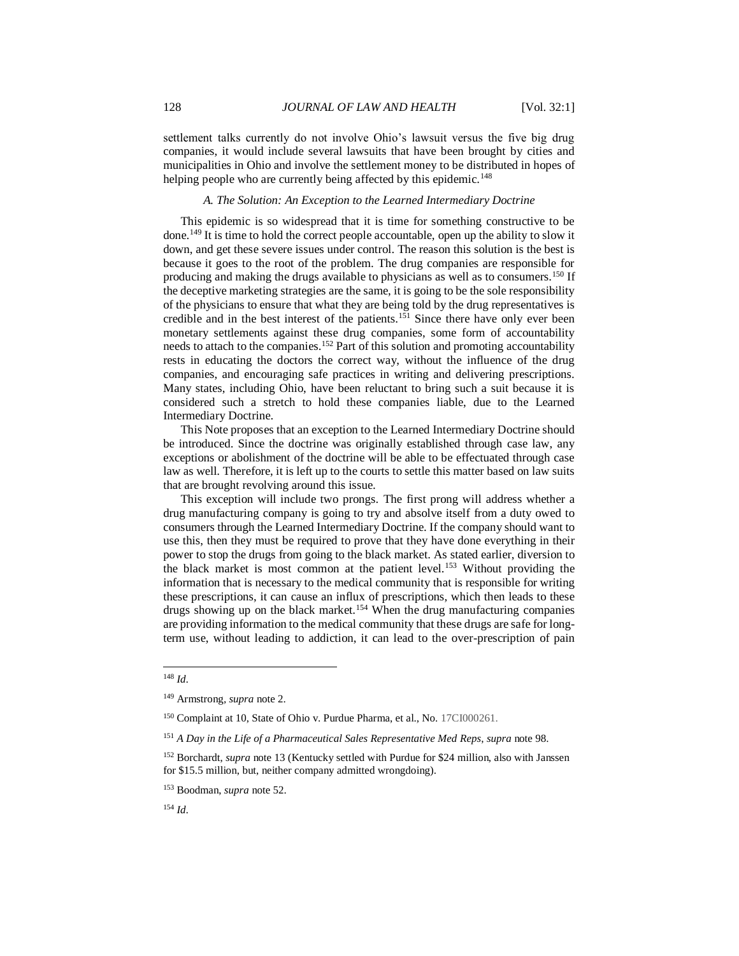settlement talks currently do not involve Ohio's lawsuit versus the five big drug companies, it would include several lawsuits that have been brought by cities and municipalities in Ohio and involve the settlement money to be distributed in hopes of helping people who are currently being affected by this epidemic.<sup>148</sup>

#### *A. The Solution: An Exception to the Learned Intermediary Doctrine*

This epidemic is so widespread that it is time for something constructive to be done.<sup>149</sup> It is time to hold the correct people accountable, open up the ability to slow it down, and get these severe issues under control. The reason this solution is the best is because it goes to the root of the problem. The drug companies are responsible for producing and making the drugs available to physicians as well as to consumers.<sup>150</sup> If the deceptive marketing strategies are the same, it is going to be the sole responsibility of the physicians to ensure that what they are being told by the drug representatives is credible and in the best interest of the patients.<sup>151</sup> Since there have only ever been monetary settlements against these drug companies, some form of accountability needs to attach to the companies.<sup>152</sup> Part of this solution and promoting accountability rests in educating the doctors the correct way, without the influence of the drug companies, and encouraging safe practices in writing and delivering prescriptions. Many states, including Ohio, have been reluctant to bring such a suit because it is considered such a stretch to hold these companies liable, due to the Learned Intermediary Doctrine.

This Note proposes that an exception to the Learned Intermediary Doctrine should be introduced. Since the doctrine was originally established through case law, any exceptions or abolishment of the doctrine will be able to be effectuated through case law as well. Therefore, it is left up to the courts to settle this matter based on law suits that are brought revolving around this issue.

This exception will include two prongs. The first prong will address whether a drug manufacturing company is going to try and absolve itself from a duty owed to consumers through the Learned Intermediary Doctrine. If the company should want to use this, then they must be required to prove that they have done everything in their power to stop the drugs from going to the black market. As stated earlier, diversion to the black market is most common at the patient level.<sup>153</sup> Without providing the information that is necessary to the medical community that is responsible for writing these prescriptions, it can cause an influx of prescriptions, which then leads to these drugs showing up on the black market.<sup>154</sup> When the drug manufacturing companies are providing information to the medical community that these drugs are safe for longterm use, without leading to addiction, it can lead to the over-prescription of pain

<sup>148</sup> *Id.*

<sup>149</sup> Armstrong*, supra* note 2.

<sup>150</sup> Complaint at 10, State of Ohio v. Purdue Pharma, et al., No. 17CI000261.

<sup>151</sup> *A Day in the Life of a Pharmaceutical Sales Representative Med Reps*, *supra* note 98.

<sup>&</sup>lt;sup>152</sup> Borchardt, *supra* note 13 (Kentucky settled with Purdue for \$24 million, also with Janssen for \$15.5 million, but, neither company admitted wrongdoing).

<sup>153</sup> Boodman, *supra* note 52.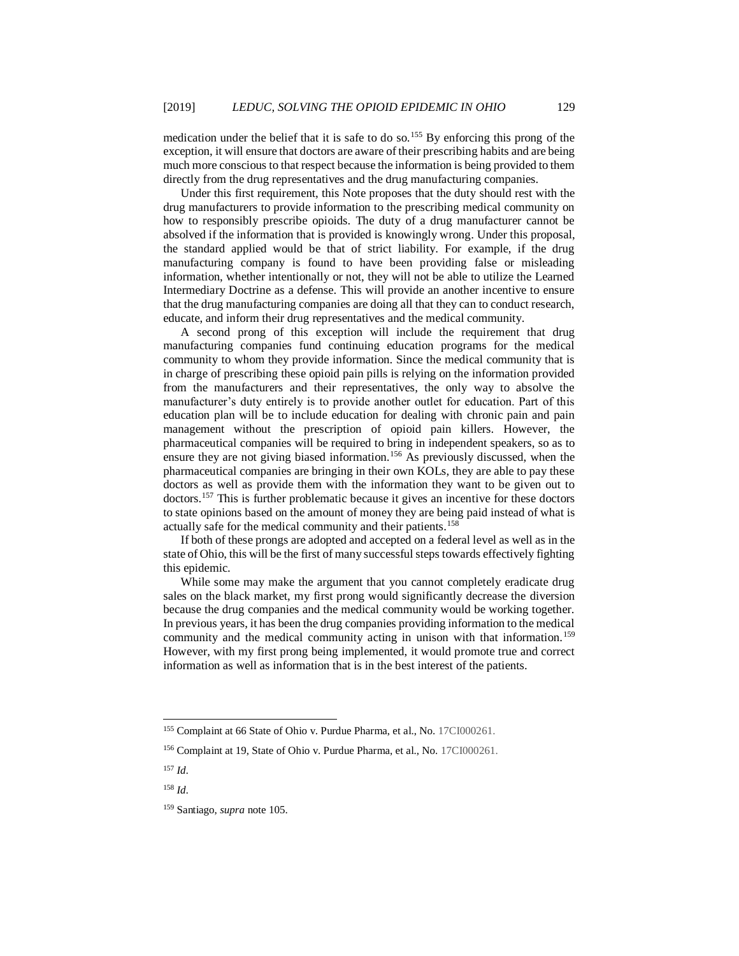medication under the belief that it is safe to do so.<sup>155</sup> By enforcing this prong of the exception, it will ensure that doctors are aware of their prescribing habits and are being much more conscious to that respect because the information is being provided to them directly from the drug representatives and the drug manufacturing companies.

Under this first requirement, this Note proposes that the duty should rest with the drug manufacturers to provide information to the prescribing medical community on how to responsibly prescribe opioids. The duty of a drug manufacturer cannot be absolved if the information that is provided is knowingly wrong. Under this proposal, the standard applied would be that of strict liability. For example, if the drug manufacturing company is found to have been providing false or misleading information, whether intentionally or not, they will not be able to utilize the Learned Intermediary Doctrine as a defense. This will provide an another incentive to ensure that the drug manufacturing companies are doing all that they can to conduct research, educate, and inform their drug representatives and the medical community.

A second prong of this exception will include the requirement that drug manufacturing companies fund continuing education programs for the medical community to whom they provide information. Since the medical community that is in charge of prescribing these opioid pain pills is relying on the information provided from the manufacturers and their representatives, the only way to absolve the manufacturer's duty entirely is to provide another outlet for education. Part of this education plan will be to include education for dealing with chronic pain and pain management without the prescription of opioid pain killers. However, the pharmaceutical companies will be required to bring in independent speakers, so as to ensure they are not giving biased information.<sup>156</sup> As previously discussed, when the pharmaceutical companies are bringing in their own KOLs, they are able to pay these doctors as well as provide them with the information they want to be given out to doctors.<sup>157</sup> This is further problematic because it gives an incentive for these doctors to state opinions based on the amount of money they are being paid instead of what is actually safe for the medical community and their patients.<sup>158</sup>

If both of these prongs are adopted and accepted on a federal level as well as in the state of Ohio, this will be the first of many successful steps towards effectively fighting this epidemic.

While some may make the argument that you cannot completely eradicate drug sales on the black market, my first prong would significantly decrease the diversion because the drug companies and the medical community would be working together. In previous years, it has been the drug companies providing information to the medical community and the medical community acting in unison with that information.<sup>159</sup> However, with my first prong being implemented, it would promote true and correct information as well as information that is in the best interest of the patients.

<sup>155</sup> Complaint at 66 State of Ohio v. Purdue Pharma, et al., No. 17CI000261.

<sup>156</sup> Complaint at 19, State of Ohio v. Purdue Pharma, et al., No. 17CI000261.

<sup>157</sup> *Id.*

<sup>158</sup> *Id.*

<sup>159</sup> Santiago, *supra* note 105.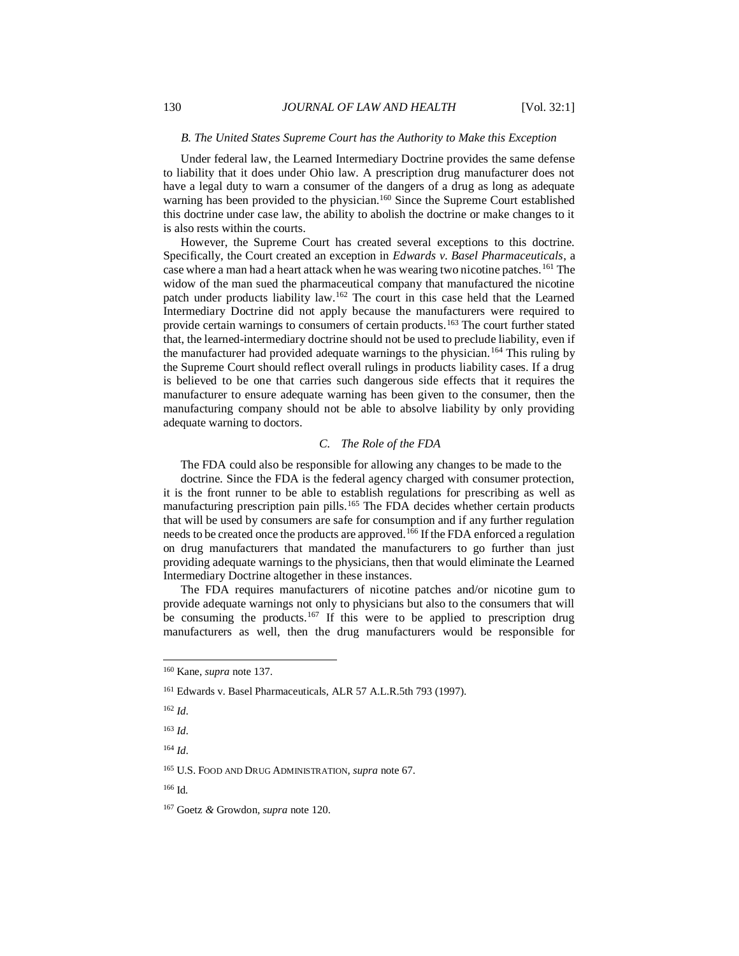#### *B. The United States Supreme Court has the Authority to Make this Exception*

Under federal law, the Learned Intermediary Doctrine provides the same defense to liability that it does under Ohio law. A prescription drug manufacturer does not have a legal duty to warn a consumer of the dangers of a drug as long as adequate warning has been provided to the physician.<sup>160</sup> Since the Supreme Court established this doctrine under case law, the ability to abolish the doctrine or make changes to it is also rests within the courts.

However, the Supreme Court has created several exceptions to this doctrine. Specifically, the Court created an exception in *Edwards v. Basel Pharmaceuticals*, a case where a man had a heart attack when he was wearing two nicotine patches.<sup>161</sup> The widow of the man sued the pharmaceutical company that manufactured the nicotine patch under products liability law.<sup>162</sup> The court in this case held that the Learned Intermediary Doctrine did not apply because the manufacturers were required to provide certain warnings to consumers of certain products.<sup>163</sup> The court further stated that, the learned-intermediary doctrine should not be used to preclude liability, even if the manufacturer had provided adequate warnings to the physician.<sup>164</sup> This ruling by the Supreme Court should reflect overall rulings in products liability cases. If a drug is believed to be one that carries such dangerous side effects that it requires the manufacturer to ensure adequate warning has been given to the consumer, then the manufacturing company should not be able to absolve liability by only providing adequate warning to doctors.

#### *C. The Role of the FDA*

The FDA could also be responsible for allowing any changes to be made to the

doctrine. Since the FDA is the federal agency charged with consumer protection, it is the front runner to be able to establish regulations for prescribing as well as manufacturing prescription pain pills.<sup>165</sup> The FDA decides whether certain products that will be used by consumers are safe for consumption and if any further regulation needs to be created once the products are approved.<sup>166</sup> If the FDA enforced a regulation on drug manufacturers that mandated the manufacturers to go further than just providing adequate warnings to the physicians, then that would eliminate the Learned Intermediary Doctrine altogether in these instances.

The FDA requires manufacturers of nicotine patches and/or nicotine gum to provide adequate warnings not only to physicians but also to the consumers that will be consuming the products.<sup>167</sup> If this were to be applied to prescription drug manufacturers as well, then the drug manufacturers would be responsible for

l

<sup>165</sup> U.S. FOOD AND DRUG ADMINISTRATION*, supra* note 67.

<sup>160</sup> Kane, *supra* note 137.

<sup>161</sup> Edwards v. Basel Pharmaceuticals, ALR 57 A.L.R.5th 793 (1997).

<sup>162</sup> *Id.*

<sup>163</sup> *Id.*

<sup>164</sup> *Id.*

<sup>166</sup> Id*.*

<sup>167</sup> Goetz *&* Growdon*, supra* note 120.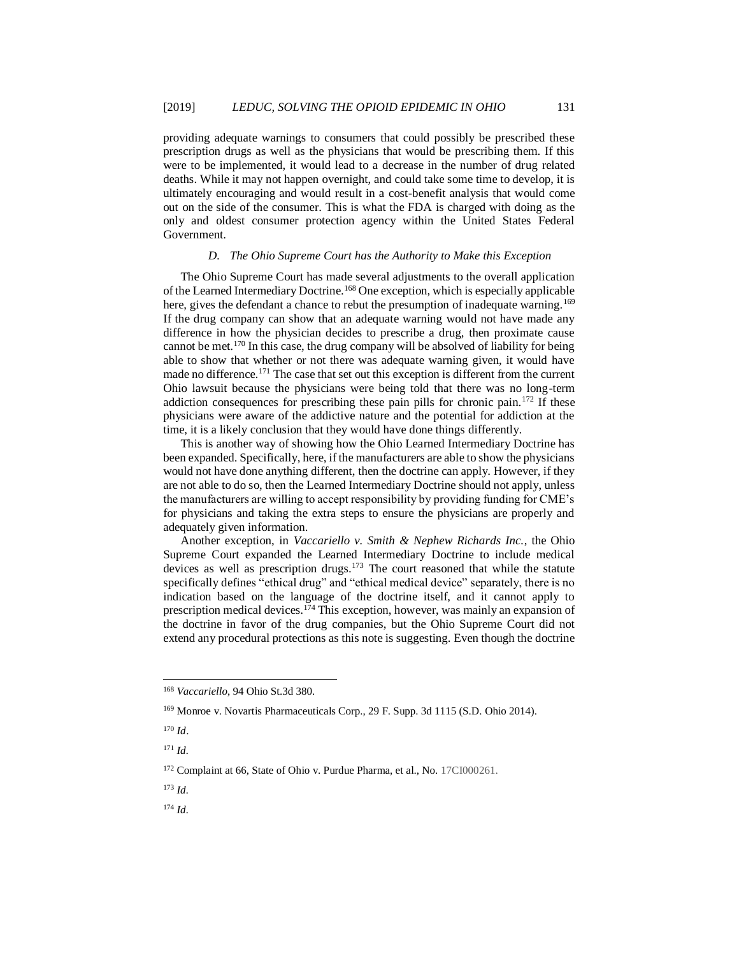providing adequate warnings to consumers that could possibly be prescribed these prescription drugs as well as the physicians that would be prescribing them. If this were to be implemented, it would lead to a decrease in the number of drug related deaths. While it may not happen overnight, and could take some time to develop, it is ultimately encouraging and would result in a cost-benefit analysis that would come out on the side of the consumer. This is what the FDA is charged with doing as the only and oldest consumer protection agency within the United States Federal Government.

### *D. The Ohio Supreme Court has the Authority to Make this Exception*

The Ohio Supreme Court has made several adjustments to the overall application of the Learned Intermediary Doctrine.<sup>168</sup> One exception, which is especially applicable here, gives the defendant a chance to rebut the presumption of inadequate warning.<sup>169</sup> If the drug company can show that an adequate warning would not have made any difference in how the physician decides to prescribe a drug, then proximate cause cannot be met.<sup>170</sup> In this case, the drug company will be absolved of liability for being able to show that whether or not there was adequate warning given, it would have made no difference.<sup>171</sup> The case that set out this exception is different from the current Ohio lawsuit because the physicians were being told that there was no long-term addiction consequences for prescribing these pain pills for chronic pain.<sup>172</sup> If these physicians were aware of the addictive nature and the potential for addiction at the time, it is a likely conclusion that they would have done things differently.

This is another way of showing how the Ohio Learned Intermediary Doctrine has been expanded. Specifically, here, if the manufacturers are able to show the physicians would not have done anything different, then the doctrine can apply. However, if they are not able to do so, then the Learned Intermediary Doctrine should not apply, unless the manufacturers are willing to accept responsibility by providing funding for CME's for physicians and taking the extra steps to ensure the physicians are properly and adequately given information.

Another exception, in *Vaccariello v. Smith & Nephew Richards Inc.*, the Ohio Supreme Court expanded the Learned Intermediary Doctrine to include medical devices as well as prescription drugs.<sup>173</sup> The court reasoned that while the statute specifically defines "ethical drug" and "ethical medical device" separately, there is no indication based on the language of the doctrine itself, and it cannot apply to prescription medical devices.<sup>174</sup> This exception, however, was mainly an expansion of the doctrine in favor of the drug companies, but the Ohio Supreme Court did not extend any procedural protections as this note is suggesting. Even though the doctrine

l

<sup>173</sup> *Id.*

<sup>168</sup> *Vaccariello*, 94 Ohio St.3d 380.

<sup>169</sup> Monroe v. Novartis Pharmaceuticals Corp., 29 F. Supp. 3d 1115 (S.D. Ohio 2014).

<sup>170</sup> *Id*.

<sup>171</sup> *Id.*

<sup>172</sup> Complaint at 66, State of Ohio v. Purdue Pharma, et al., No. 17CI000261.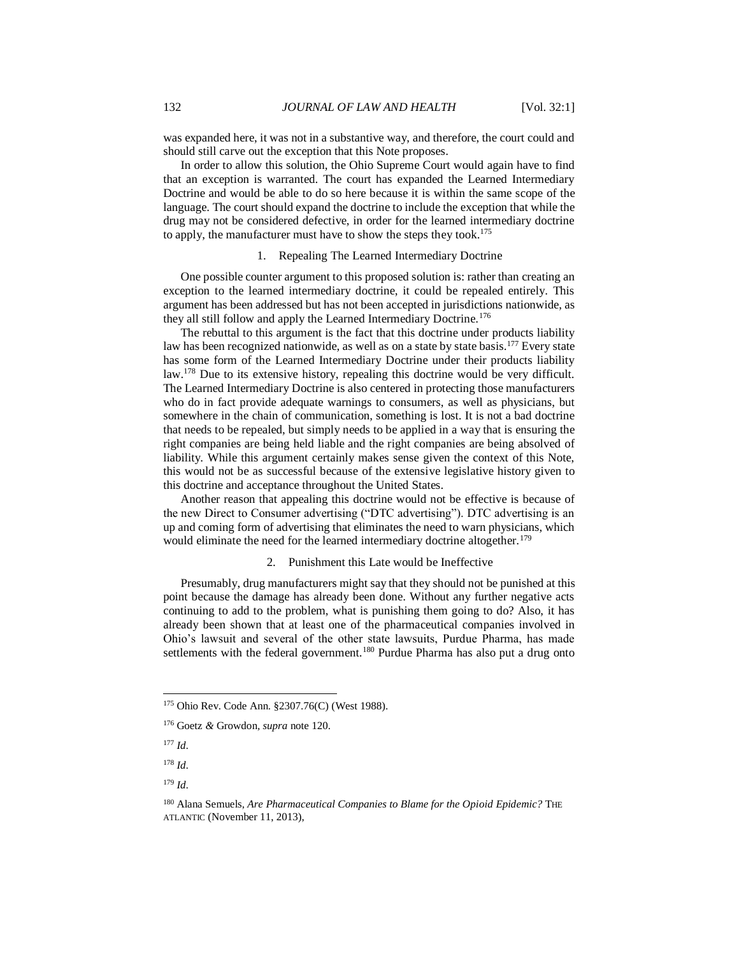was expanded here, it was not in a substantive way, and therefore, the court could and should still carve out the exception that this Note proposes.

In order to allow this solution, the Ohio Supreme Court would again have to find that an exception is warranted. The court has expanded the Learned Intermediary Doctrine and would be able to do so here because it is within the same scope of the language. The court should expand the doctrine to include the exception that while the drug may not be considered defective, in order for the learned intermediary doctrine to apply, the manufacturer must have to show the steps they took.<sup>175</sup>

## 1. Repealing The Learned Intermediary Doctrine

One possible counter argument to this proposed solution is: rather than creating an exception to the learned intermediary doctrine, it could be repealed entirely. This argument has been addressed but has not been accepted in jurisdictions nationwide, as they all still follow and apply the Learned Intermediary Doctrine.<sup>176</sup>

The rebuttal to this argument is the fact that this doctrine under products liability law has been recognized nationwide, as well as on a state by state basis.<sup>177</sup> Every state has some form of the Learned Intermediary Doctrine under their products liability law.<sup>178</sup> Due to its extensive history, repealing this doctrine would be very difficult. The Learned Intermediary Doctrine is also centered in protecting those manufacturers who do in fact provide adequate warnings to consumers, as well as physicians, but somewhere in the chain of communication, something is lost. It is not a bad doctrine that needs to be repealed, but simply needs to be applied in a way that is ensuring the right companies are being held liable and the right companies are being absolved of liability. While this argument certainly makes sense given the context of this Note, this would not be as successful because of the extensive legislative history given to this doctrine and acceptance throughout the United States.

Another reason that appealing this doctrine would not be effective is because of the new Direct to Consumer advertising ("DTC advertising"). DTC advertising is an up and coming form of advertising that eliminates the need to warn physicians, which would eliminate the need for the learned intermediary doctrine altogether.<sup>179</sup>

#### 2. Punishment this Late would be Ineffective

Presumably, drug manufacturers might say that they should not be punished at this point because the damage has already been done. Without any further negative acts continuing to add to the problem, what is punishing them going to do? Also, it has already been shown that at least one of the pharmaceutical companies involved in Ohio's lawsuit and several of the other state lawsuits, Purdue Pharma, has made settlements with the federal government.<sup>180</sup> Purdue Pharma has also put a drug onto

<sup>175</sup> Ohio Rev. Code Ann. §2307.76(C) (West 1988).

<sup>176</sup> Goetz *&* Growdon*, supra* note 120.

<sup>177</sup> *Id.*

<sup>178</sup> *Id.*

<sup>179</sup> *Id.*

<sup>180</sup> Alana Semuels, *Are Pharmaceutical Companies to Blame for the Opioid Epidemic?* THE ATLANTIC (November 11, 2013),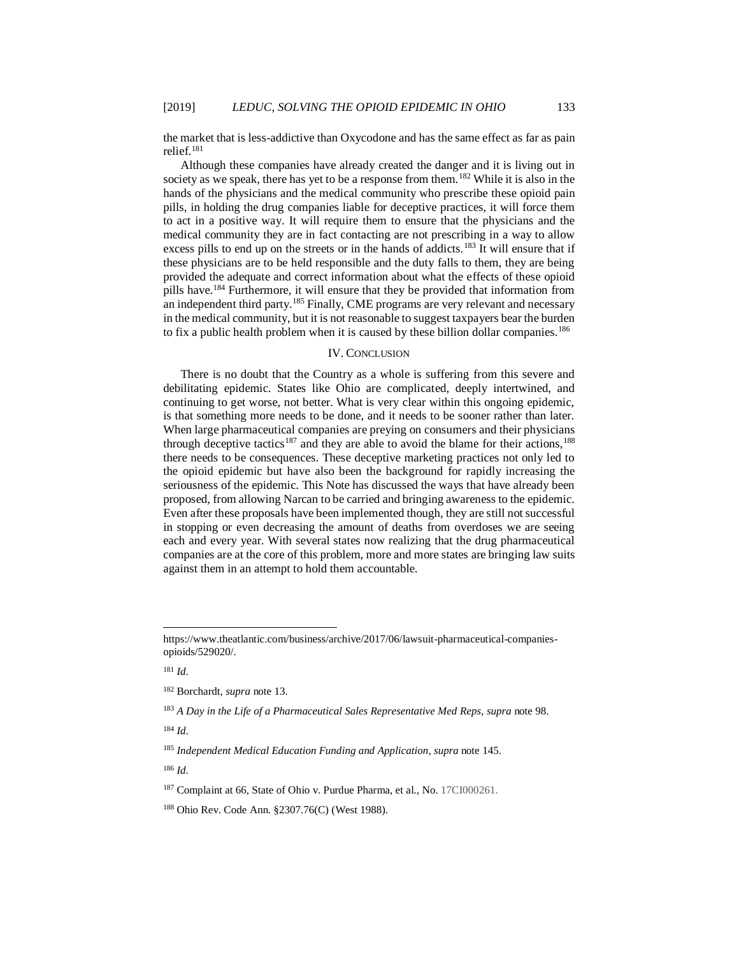the market that is less-addictive than Oxycodone and has the same effect as far as pain relief.<sup>181</sup>

Although these companies have already created the danger and it is living out in society as we speak, there has yet to be a response from them.<sup>182</sup> While it is also in the hands of the physicians and the medical community who prescribe these opioid pain pills, in holding the drug companies liable for deceptive practices, it will force them to act in a positive way. It will require them to ensure that the physicians and the medical community they are in fact contacting are not prescribing in a way to allow excess pills to end up on the streets or in the hands of addicts.<sup>183</sup> It will ensure that if these physicians are to be held responsible and the duty falls to them, they are being provided the adequate and correct information about what the effects of these opioid pills have.<sup>184</sup> Furthermore, it will ensure that they be provided that information from an independent third party.<sup>185</sup> Finally, CME programs are very relevant and necessary in the medical community, but it is not reasonable to suggest taxpayers bear the burden to fix a public health problem when it is caused by these billion dollar companies.<sup>186</sup>

## IV. CONCLUSION

There is no doubt that the Country as a whole is suffering from this severe and debilitating epidemic. States like Ohio are complicated, deeply intertwined, and continuing to get worse, not better. What is very clear within this ongoing epidemic, is that something more needs to be done, and it needs to be sooner rather than later. When large pharmaceutical companies are preying on consumers and their physicians through deceptive tactics<sup>187</sup> and they are able to avoid the blame for their actions,<sup>188</sup> there needs to be consequences. These deceptive marketing practices not only led to the opioid epidemic but have also been the background for rapidly increasing the seriousness of the epidemic. This Note has discussed the ways that have already been proposed, from allowing Narcan to be carried and bringing awareness to the epidemic. Even after these proposals have been implemented though, they are still not successful in stopping or even decreasing the amount of deaths from overdoses we are seeing each and every year. With several states now realizing that the drug pharmaceutical companies are at the core of this problem, more and more states are bringing law suits against them in an attempt to hold them accountable.

l

<sup>184</sup> *Id.*

https://www.theatlantic.com/business/archive/2017/06/lawsuit-pharmaceutical-companiesopioids/529020/.

<sup>181</sup> *Id.*

<sup>182</sup> Borchardt, *supra* note 13.

<sup>183</sup> *A Day in the Life of a Pharmaceutical Sales Representative Med Reps*, *supra* note 98.

<sup>185</sup> *Independent Medical Education Funding and Application*, *supra* note 145.

<sup>187</sup> Complaint at 66, State of Ohio v. Purdue Pharma, et al., No. 17CI000261.

<sup>188</sup> Ohio Rev. Code Ann. §2307.76(C) (West 1988).